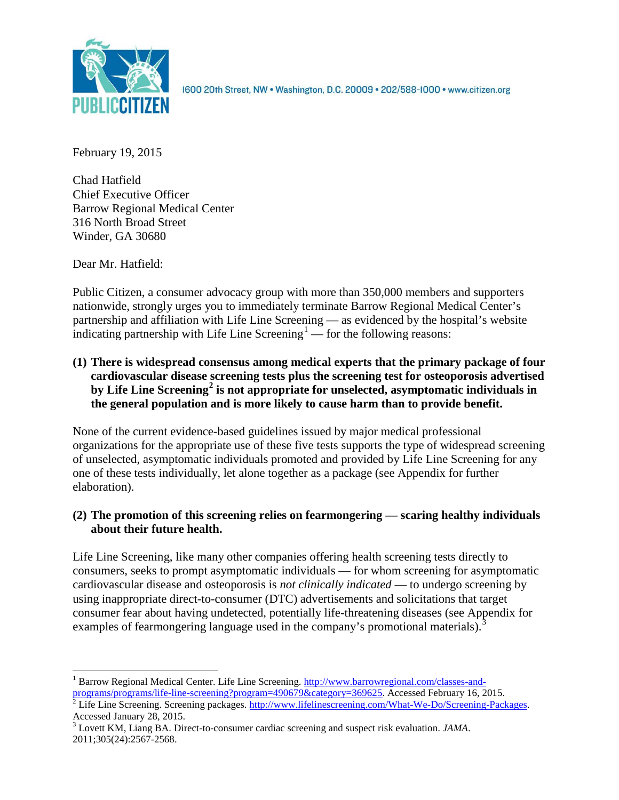

1600 20th Street, NW . Washington, D.C. 20009 . 202/588-1000 . www.citizen.org

February 19, 2015

Chad Hatfield Chief Executive Officer Barrow Regional Medical Center 316 North Broad Street Winder, GA 30680

Dear Mr. Hatfield:

Public Citizen, a consumer advocacy group with more than 350,000 members and supporters nationwide, strongly urges you to immediately terminate Barrow Regional Medical Center's partnership and affiliation with Life Line Screening — as evidenced by the hospital's website indicating partnership with Life Line Screening<sup>[1](#page-0-0)</sup> — for the following reasons:

**(1) There is widespread consensus among medical experts that the primary package of four cardiovascular disease screening tests plus the screening test for osteoporosis advertised by Life Line Screening[2](#page-0-1) is not appropriate for unselected, asymptomatic individuals in the general population and is more likely to cause harm than to provide benefit.**

None of the current evidence-based guidelines issued by major medical professional organizations for the appropriate use of these five tests supports the type of widespread screening of unselected, asymptomatic individuals promoted and provided by Life Line Screening for any one of these tests individually, let alone together as a package (see Appendix for further elaboration).

# **(2) The promotion of this screening relies on fearmongering — scaring healthy individuals about their future health.**

Life Line Screening, like many other companies offering health screening tests directly to consumers, seeks to prompt asymptomatic individuals — for whom screening for asymptomatic cardiovascular disease and osteoporosis is *not clinically indicated* — to undergo screening by using inappropriate direct-to-consumer (DTC) advertisements and solicitations that target consumer fear about having undetected, potentially life-threatening diseases (see Appendix for examples of fearmongering language used in the company's promotional materials).<sup>[3](#page-0-2)</sup>

<span id="page-0-0"></span><sup>1</sup> Barrow Regional Medical Center. Life Line Screening[. http://www.barrowregional.com/classes-and-](http://www.barrowregional.com/classes-and-programs/programs/life-line-screening?program=490679&category=369625)

<span id="page-0-1"></span>[programs/programs/life-line-screening?program=490679&category=369625.](http://www.barrowregional.com/classes-and-programs/programs/life-line-screening?program=490679&category=369625) Accessed February 16, 2015.<br><sup>2</sup> Life Line Screening. Screening packages. [http://www.lifelinescreening.com/What-We-Do/Screening-Packages.](http://www.lifelinescreening.com/What-We-Do/Screening-Packages) Accessed Januar

<span id="page-0-2"></span><sup>&</sup>lt;sup>3</sup> Lovett KM, Liang BA. Direct-to-consumer cardiac screening and suspect risk evaluation. *JAMA*. 2011;305(24):2567-2568.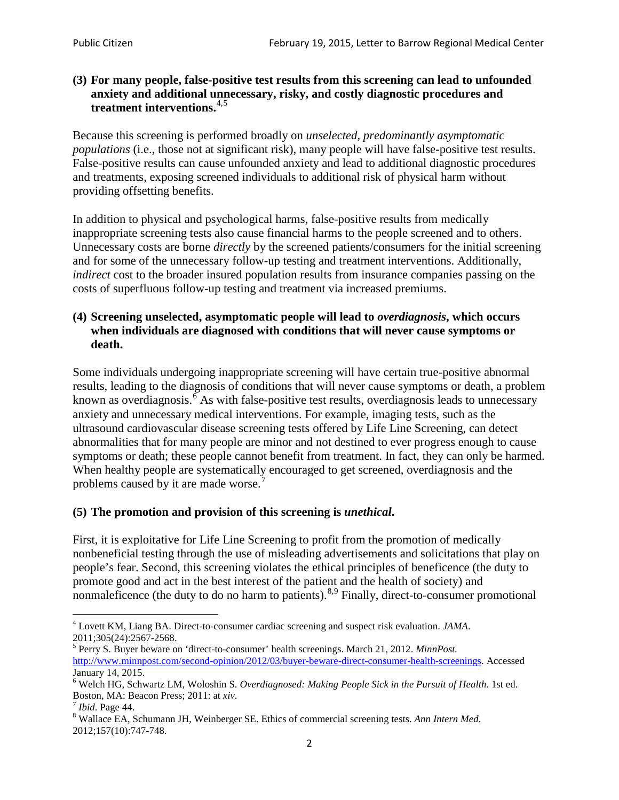### **(3) For many people, false-positive test results from this screening can lead to unfounded anxiety and additional unnecessary, risky, and costly diagnostic procedures and treatment interventions.**[4](#page-1-0),[5](#page-1-1)

Because this screening is performed broadly on *unselected, predominantly asymptomatic populations* (i.e., those not at significant risk), many people will have false**-**positive test results. False-positive results can cause unfounded anxiety and lead to additional diagnostic procedures and treatments, exposing screened individuals to additional risk of physical harm without providing offsetting benefits.

In addition to physical and psychological harms, false-positive results from medically inappropriate screening tests also cause financial harms to the people screened and to others. Unnecessary costs are borne *directly* by the screened patients/consumers for the initial screening and for some of the unnecessary follow-up testing and treatment interventions. Additionally, *indirect* cost to the broader insured population results from insurance companies passing on the costs of superfluous follow-up testing and treatment via increased premiums.

### **(4) Screening unselected, asymptomatic people will lead to** *overdiagnosis***, which occurs when individuals are diagnosed with conditions that will never cause symptoms or death.**

Some individuals undergoing inappropriate screening will have certain true-positive abnormal results, leading to the diagnosis of conditions that will never cause symptoms or death, a problem known as overdiagnosis.<sup>[6](#page-1-2)</sup> As with false-positive test results, overdiagnosis leads to unnecessary anxiety and unnecessary medical interventions. For example, imaging tests, such as the ultrasound cardiovascular disease screening tests offered by Life Line Screening, can detect abnormalities that for many people are minor and not destined to ever progress enough to cause symptoms or death; these people cannot benefit from treatment. In fact, they can only be harmed. When healthy people are systematically encouraged to get screened, overdiagnosis and the problems caused by it are made worse.<sup>[7](#page-1-3)</sup>

## **(5) The promotion and provision of this screening is** *unethical***.**

First, it is exploitative for Life Line Screening to profit from the promotion of medically nonbeneficial testing through the use of misleading advertisements and solicitations that play on people's fear. Second, this screening violates the ethical principles of beneficence (the duty to promote good and act in the best interest of the patient and the health of society) and nonmaleficence (the duty to do no harm to patients).<sup>[8](#page-1-4),[9](#page-1-5)</sup> Finally, direct-to-consumer promotional

<span id="page-1-4"></span>2012;157(10):747-748.

<span id="page-1-5"></span><span id="page-1-0"></span><sup>4</sup> Lovett KM, Liang BA. Direct-to-consumer cardiac screening and suspect risk evaluation. *JAMA*.

<span id="page-1-1"></span><sup>2011;305(24):2567-2568.</sup> <sup>5</sup> Perry S. Buyer beware on 'direct-to-consumer' health screenings. March 21, 2012. *MinnPost.*  [http://www.minnpost.com/second-opinion/2012/03/buyer-beware-direct-consumer-health-screenings.](http://www.minnpost.com/second-opinion/2012/03/buyer-beware-direct-consumer-health-screenings) Accessed January 14, 2015.

<span id="page-1-2"></span><sup>6</sup> Welch HG, Schwartz LM, Woloshin S. *Overdiagnosed: Making People Sick in the Pursuit of Health*. 1st ed. Boston, MA: Beacon Press; 2011: at *xiv*.<br><sup>7</sup> *Ibid*. Page 44.<br><sup>8</sup> Wallace EA, Schumann JH, Weinberger SE. Ethics of commercial screening tests. *Ann Intern Med*.

<span id="page-1-3"></span>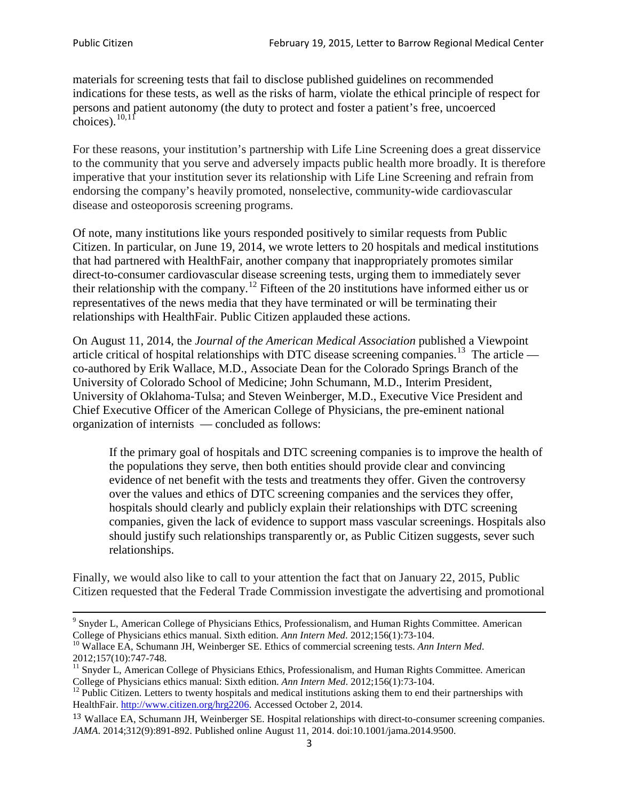materials for screening tests that fail to disclose published guidelines on recommended indications for these tests, as well as the risks of harm, violate the ethical principle of respect for persons and patient autonomy (the duty to protect and foster a patient's free, uncoerced choices). $\frac{10,11}{10,11}$  $\frac{10,11}{10,11}$  $\frac{10,11}{10,11}$  $\frac{10,11}{10,11}$ 

For these reasons, your institution's partnership with Life Line Screening does a great disservice to the community that you serve and adversely impacts public health more broadly. It is therefore imperative that your institution sever its relationship with Life Line Screening and refrain from endorsing the company's heavily promoted, nonselective, community**-**wide cardiovascular disease and osteoporosis screening programs.

Of note, many institutions like yours responded positively to similar requests from Public Citizen. In particular, on June 19, 2014, we wrote letters to 20 hospitals and medical institutions that had partnered with HealthFair, another company that inappropriately promotes similar direct-to-consumer cardiovascular disease screening tests, urging them to immediately sever their relationship with the company. [12](#page-2-2) Fifteen of the 20 institutions have informed either us or representatives of the news media that they have terminated or will be terminating their relationships with HealthFair. Public Citizen applauded these actions.

On August 11, 2014, the *Journal of the American Medical Association* published a Viewpoint article critical of hospital relationships with DTC disease screening companies.<sup>13</sup> The article co-authored by Erik Wallace, M.D., Associate Dean for the Colorado Springs Branch of the University of Colorado School of Medicine; John Schumann, M.D., Interim President, University of Oklahoma-Tulsa; and Steven Weinberger, M.D., Executive Vice President and Chief Executive Officer of the American College of Physicians, the pre**-**eminent national organization of internists — concluded as follows:

If the primary goal of hospitals and DTC screening companies is to improve the health of the populations they serve, then both entities should provide clear and convincing evidence of net benefit with the tests and treatments they offer. Given the controversy over the values and ethics of DTC screening companies and the services they offer, hospitals should clearly and publicly explain their relationships with DTC screening companies, given the lack of evidence to support mass vascular screenings. Hospitals also should justify such relationships transparently or, as Public Citizen suggests, sever such relationships.

Finally, we would also like to call to your attention the fact that on January 22, 2015, Public Citizen requested that the Federal Trade Commission investigate the advertising and promotional

<sup>&</sup>lt;sup>9</sup> Snyder L, American College of Physicians Ethics, Professionalism, and Human Rights Committee. American College of Physicians ethics manual. Sixth edition. Ann Intern Med. 2012;156(1):73-104.

<span id="page-2-0"></span><sup>&</sup>lt;sup>10</sup> Wallace EA, Schumann JH, Weinberger SE. Ethics of commercial screening tests. *Ann Intern Med*. 2012;157(10):747-748.

<span id="page-2-1"></span> $11$  Snyder L, American College of Physicians Ethics, Professionalism, and Human Rights Committee. American College of Physicians ethics manual: Sixth edition. *Ann Intern Med*. 2012;156(1):73-104.<br><sup>12</sup> Public Citizen. Letters to twenty hospitals and medical institutions asking them to end their partnerships with

<span id="page-2-2"></span>HealthFair. [http://www.citizen.org/hrg2206.](http://www.citizen.org/hrg2206) Accessed October 2, 2014.

<span id="page-2-3"></span><sup>13</sup> Wallace EA, Schumann JH, Weinberger SE. Hospital relationships with direct-to-consumer screening companies. *JAMA*. 2014;312(9):891-892. Published online August 11, 2014. doi:10.1001/jama.2014.9500.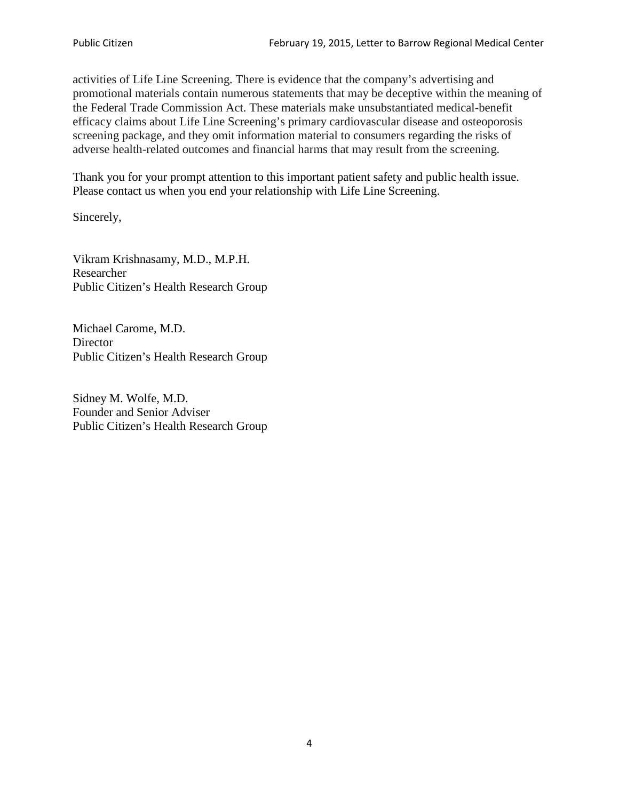activities of Life Line Screening. There is evidence that the company's advertising and promotional materials contain numerous statements that may be deceptive within the meaning of the Federal Trade Commission Act. These materials make unsubstantiated medical-benefit efficacy claims about Life Line Screening's primary cardiovascular disease and osteoporosis screening package, and they omit information material to consumers regarding the risks of adverse health-related outcomes and financial harms that may result from the screening.

Thank you for your prompt attention to this important patient safety and public health issue. Please contact us when you end your relationship with Life Line Screening.

Sincerely,

Vikram Krishnasamy, M.D., M.P.H. Researcher Public Citizen's Health Research Group

Michael Carome, M.D. **Director** Public Citizen's Health Research Group

Sidney M. Wolfe, M.D. Founder and Senior Adviser Public Citizen's Health Research Group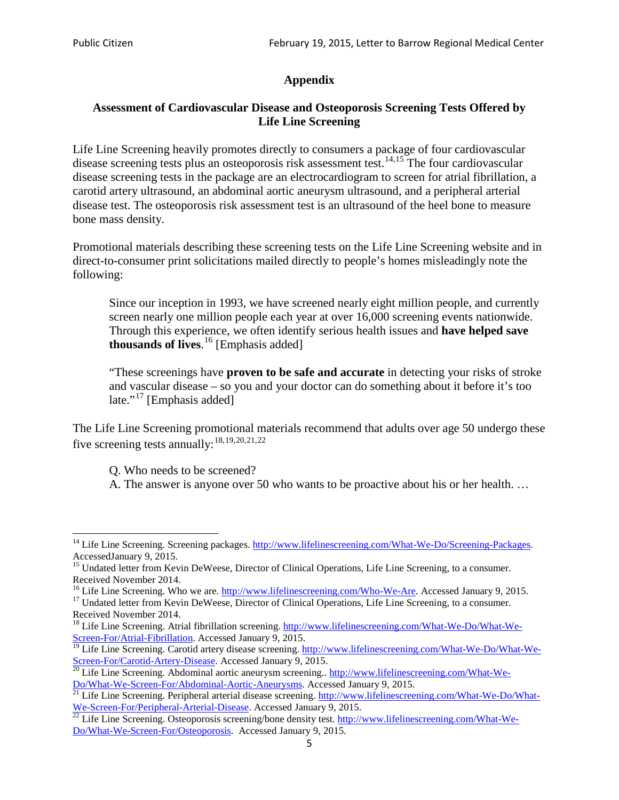# **Appendix**

### **Assessment of Cardiovascular Disease and Osteoporosis Screening Tests Offered by Life Line Screening**

Life Line Screening heavily promotes directly to consumers a package of four cardiovascular disease screening tests plus an osteoporosis risk assessment test.<sup>[14](#page-4-0),[15](#page-4-1)</sup> The four cardiovascular disease screening tests in the package are an electrocardiogram to screen for atrial fibrillation, a carotid artery ultrasound, an abdominal aortic aneurysm ultrasound, and a peripheral arterial disease test. The osteoporosis risk assessment test is an ultrasound of the heel bone to measure bone mass density.

Promotional materials describing these screening tests on the Life Line Screening website and in direct-to-consumer print solicitations mailed directly to people's homes misleadingly note the following:

Since our inception in 1993, we have screened nearly eight million people, and currently screen nearly one million people each year at over 16,000 screening events nationwide. Through this experience, we often identify serious health issues and **have helped save thousands of lives**. [16](#page-4-2) [Emphasis added]

"These screenings have **proven to be safe and accurate** in detecting your risks of stroke and vascular disease – so you and your doctor can do something about it before it's too late."<sup>[17](#page-4-3)</sup> [Emphasis added]

The Life Line Screening promotional materials recommend that adults over age 50 undergo these five screening tests annually:<sup>[18](#page-4-4),[19,](#page-4-5)[20,](#page-4-6)[21](#page-4-7),[22](#page-4-8)</sup>

Q. Who needs to be screened?

A. The answer is anyone over 50 who wants to be proactive about his or her health. …

<span id="page-4-0"></span><sup>&</sup>lt;sup>14</sup> Life Line Screening. Screening packages. [http://www.lifelinescreening.com/What-We-Do/Screening-Packages.](http://www.lifelinescreening.com/What-We-Do/Screening-Packages) AccessedJanuary 9, 2015.

<span id="page-4-1"></span><sup>&</sup>lt;sup>15</sup> Undated letter from Kevin DeWeese, Director of Clinical Operations, Life Line Screening, to a consumer.

Received November 2014.<br><sup>16</sup> Life Line Screening. Who we are. http://www.lifelinescreening.com/Who-We-Are. Accessed January 9, 2015.

<span id="page-4-3"></span><span id="page-4-2"></span><sup>&</sup>lt;sup>17</sup> Undated letter from Kevin DeWeese, Director of Clinical Operations, Life Line Screening, to a consumer. Received November 2014.

<span id="page-4-4"></span><sup>&</sup>lt;sup>18</sup> Life Line Screening. Atrial fibrillation screening. [http://www.lifelinescreening.com/What-We-Do/What-We-](http://www.lifelinescreening.com/What-We-Do/What-We-Screen-For/Atrial-Fibrillation)[Screen-For/Atrial-Fibrillation.](http://www.lifelinescreening.com/What-We-Do/What-We-Screen-For/Atrial-Fibrillation) Accessed January 9, 2015.

<sup>&</sup>lt;sup>19</sup> Life Line Screening. Carotid artery disease screening. [http://www.lifelinescreening.com/What-We-Do/What-We-](http://www.lifelinescreening.com/What-We-Do/What-We-Screen-For/Carotid-Artery-Disease)

<span id="page-4-6"></span><span id="page-4-5"></span>[Screen-For/Carotid-Artery-Disease.](http://www.lifelinescreening.com/What-We-Do/What-We-Screen-For/Carotid-Artery-Disease) Accessed January 9, 2015.<br><sup>20</sup> Life Line Screening. Abdominal aortic aneurysm screening.. http://www.lifelinescreening.com/What-We-Do/What-We-Do/What-We-Screen-For/Abdominal-Aortic-Aneury

<span id="page-4-7"></span><sup>&</sup>lt;sup>21</sup> Life Line Screening. Peripheral arterial disease screening. [http://www.lifelinescreening.com/What-We-Do/What-](http://www.lifelinescreening.com/What-We-Do/What-We-Screen-For/Peripheral-Arterial-Disease)

<span id="page-4-8"></span>[We-Screen-For/Peripheral-Arterial-Disease.](http://www.lifelinescreening.com/What-We-Do/What-We-Screen-For/Peripheral-Arterial-Disease) Accessed January 9, 2015.<br><sup>22</sup> Life Line Screening. Osteoporosis screening/bone density test. [http://www.lifelinescreening.com/What-We-](http://www.lifelinescreening.com/What-We-Do/What-We-Screen-For/Osteoporosis)[Do/What-We-Screen-For/Osteoporosis.](http://www.lifelinescreening.com/What-We-Do/What-We-Screen-For/Osteoporosis) Accessed January 9, 2015.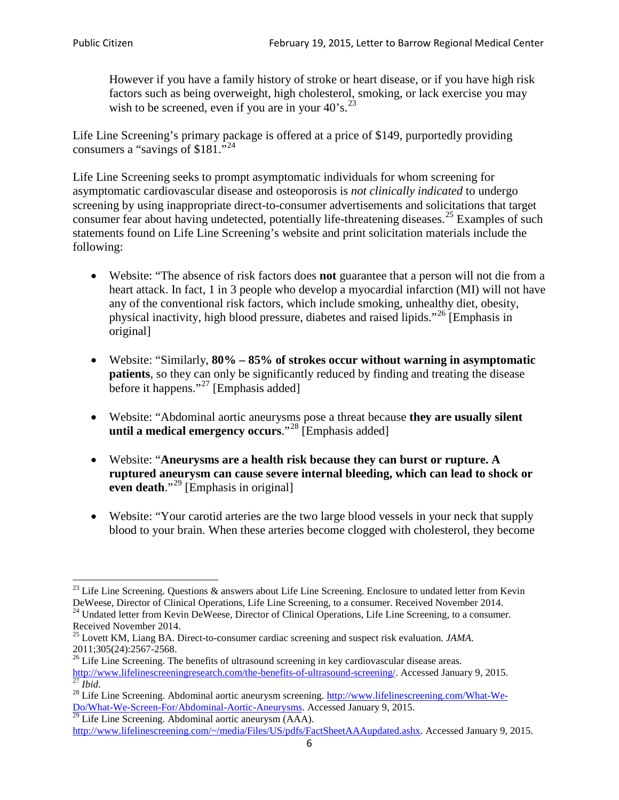However if you have a family history of stroke or heart disease, or if you have high risk factors such as being overweight, high cholesterol, smoking, or lack exercise you may wish to be screened, even if you are in your  $40^{\circ}$ s.<sup>[23](#page-5-0)</sup>

Life Line Screening's primary package is offered at a price of \$149, purportedly providing consumers a "savings of \$181."[24](#page-5-1)

Life Line Screening seeks to prompt asymptomatic individuals for whom screening for asymptomatic cardiovascular disease and osteoporosis is *not clinically indicated* to undergo screening by using inappropriate direct-to-consumer advertisements and solicitations that target consumer fear about having undetected, potentially life-threatening diseases.<sup>[25](#page-5-2)</sup> Examples of such statements found on Life Line Screening's website and print solicitation materials include the following:

- Website: "The absence of risk factors does **not** guarantee that a person will not die from a heart attack. In fact, 1 in 3 people who develop a myocardial infarction (MI) will not have any of the conventional risk factors, which include smoking, unhealthy diet, obesity, physical inactivity, high blood pressure, diabetes and raised lipids."[26](#page-5-3) [Emphasis in original]
- Website: "Similarly, **80% – 85% of strokes occur without warning in asymptomatic patients**, so they can only be significantly reduced by finding and treating the disease before it happens."<sup>[27](#page-5-4)</sup> [Emphasis added]
- Website: "Abdominal aortic aneurysms pose a threat because **they are usually silent until a medical emergency occurs**."[28](#page-5-5) [Emphasis added]
- Website: "**Aneurysms are a health risk because they can burst or rupture. A ruptured aneurysm can cause severe internal bleeding, which can lead to shock or even death.**"<sup>[29](#page-5-6)</sup> [Emphasis in original]
- Website: "Your carotid arteries are the two large blood vessels in your neck that supply blood to your brain. When these arteries become clogged with cholesterol, they become

<span id="page-5-0"></span><sup>&</sup>lt;sup>23</sup> Life Line Screening. Questions  $\&$  answers about Life Line Screening. Enclosure to undated letter from Kevin DeWeese, Director of Clinical Operations, Life Line Screening, to a consumer. Received November 2014.

<span id="page-5-1"></span><sup>&</sup>lt;sup>24</sup> Undated letter from Kevin DeWeese, Director of Clinical Operations, Life Line Screening, to a consumer. Received November 2014.

<span id="page-5-2"></span><sup>25</sup> Lovett KM, Liang BA. Direct-to-consumer cardiac screening and suspect risk evaluation. *JAMA*.  $2011;305(24):2567-2568$ .<br><sup>26</sup> Life Line Screening. The benefits of ultrasound screening in key cardiovascular disease areas.

<span id="page-5-3"></span>[http://www.lifelinescreeningresearch.com/the-benefits-of-ultrasound-screening/.](http://www.lifelinescreeningresearch.com/the-benefits-of-ultrasound-screening/) Accessed January 9, 2015.<br><sup>28</sup> Life Line Screening. Abdominal aortic aneurysm screening. http://www.lifelinescreening.com/What-We-<sup>28</sup>

<span id="page-5-5"></span><span id="page-5-4"></span>[Do/What-We-Screen-For/Abdominal-Aortic-Aneurysms.](http://www.lifelinescreening.com/What-We-Do/What-We-Screen-For/Abdominal-Aortic-Aneurysms) Accessed January 9, 2015. <sup>29</sup> Life Line Screening. Abdominal aortic aneurysm (AAA).

<span id="page-5-6"></span>[http://www.lifelinescreening.com/~/media/Files/US/pdfs/FactSheetAAAupdated.ashx.](http://www.lifelinescreening.com/~/media/Files/US/pdfs/FactSheetAAAupdated.ashx) Accessed January 9, 2015.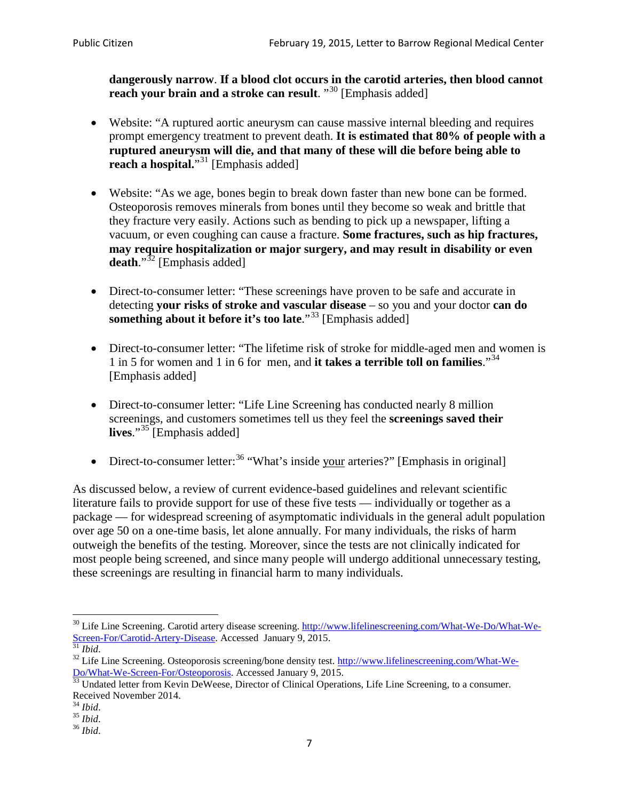**dangerously narrow**. **If a blood clot occurs in the carotid arteries, then blood cannot reach your brain and a stroke can result**. "<sup>[30](#page-6-0)</sup> [Emphasis added]

- Website: "A ruptured aortic aneurysm can cause massive internal bleeding and requires prompt emergency treatment to prevent death. **It is estimated that 80% of people with a ruptured aneurysm will die, and that many of these will die before being able to reach a hospital.**"<sup>[31](#page-6-1)</sup> [Emphasis added]
- Website: "As we age, bones begin to break down faster than new bone can be formed. Osteoporosis removes minerals from bones until they become so weak and brittle that they fracture very easily. Actions such as bending to pick up a newspaper, lifting a vacuum, or even coughing can cause a fracture. **Some fractures, such as hip fractures, may require hospitalization or major surgery, and may result in disability or even**  death."<sup>[32](#page-6-2)</sup> [Emphasis added]
- Direct-to-consumer letter: "These screenings have proven to be safe and accurate in detecting **your risks of stroke and vascular disease** – so you and your doctor **can do something about it before it's too late.**"<sup>[33](#page-6-3)</sup> [Emphasis added]
- Direct-to-consumer letter: "The lifetime risk of stroke for middle-aged men and women is 1 in 5 for women and 1 in 6 for men, and **it takes a terrible toll on families**."[34](#page-6-4) [Emphasis added]
- Direct-to-consumer letter: "Life Line Screening has conducted nearly 8 million screenings, and customers sometimes tell us they feel the **screenings saved their lives**."[35](#page-6-5) [Emphasis added]
- Direct-to-consumer letter:  $36$  "What's inside your arteries?" [Emphasis in original]

As discussed below, a review of current evidence-based guidelines and relevant scientific literature fails to provide support for use of these five tests — individually or together as a package — for widespread screening of asymptomatic individuals in the general adult population over age 50 on a one-time basis, let alone annually. For many individuals, the risks of harm outweigh the benefits of the testing. Moreover, since the tests are not clinically indicated for most people being screened, and since many people will undergo additional unnecessary testing, these screenings are resulting in financial harm to many individuals.

<span id="page-6-0"></span><sup>&</sup>lt;sup>30</sup> Life Line Screening. Carotid artery disease screening. [http://www.lifelinescreening.com/What-We-Do/What-We-](http://www.lifelinescreening.com/What-We-Do/What-We-Screen-For/Carotid-Artery-Disease)[Screen-For/Carotid-Artery-Disease.](http://www.lifelinescreening.com/What-We-Do/What-We-Screen-For/Carotid-Artery-Disease) Accessed January 9, 2015.<br><sup>31</sup> *Ibid.* 32 Life Line Screening. Osteoporosis screening/bone density test. [http://www.lifelinescreening.com/What-We-](http://www.lifelinescreening.com/What-We-Do/What-We-Screen-For/Osteoporosis)

<span id="page-6-2"></span><span id="page-6-1"></span>[Do/What-We-Screen-For/Osteoporosis.](http://www.lifelinescreening.com/What-We-Do/What-We-Screen-For/Osteoporosis) Accessed January 9, 2015. <sup>33</sup> Undated letter from Kevin DeWeese, Director of Clinical Operations, Life Line Screening, to a consumer.

<span id="page-6-3"></span>Received November 2014.<br><sup>34</sup> Ibid.

<span id="page-6-4"></span>

<span id="page-6-5"></span><sup>34</sup> *Ibid*. 35 *Ibid*. 36 *Ibid*.

<span id="page-6-6"></span>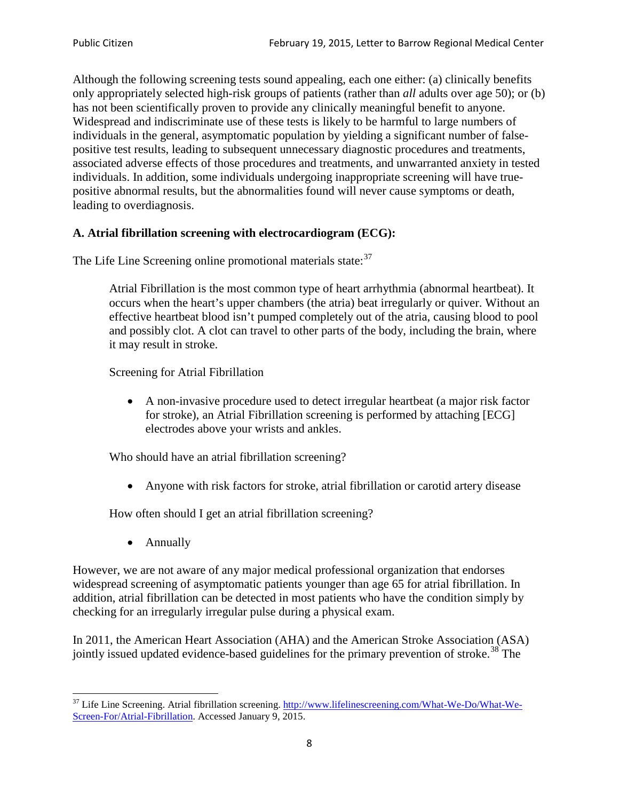Although the following screening tests sound appealing, each one either: (a) clinically benefits only appropriately selected high-risk groups of patients (rather than *all* adults over age 50); or (b) has not been scientifically proven to provide any clinically meaningful benefit to anyone. Widespread and indiscriminate use of these tests is likely to be harmful to large numbers of individuals in the general, asymptomatic population by yielding a significant number of falsepositive test results, leading to subsequent unnecessary diagnostic procedures and treatments, associated adverse effects of those procedures and treatments, and unwarranted anxiety in tested individuals. In addition, some individuals undergoing inappropriate screening will have truepositive abnormal results, but the abnormalities found will never cause symptoms or death, leading to overdiagnosis.

# **A. Atrial fibrillation screening with electrocardiogram (ECG):**

The Life Line Screening online promotional materials state:<sup>[37](#page-7-0)</sup>

Atrial Fibrillation is the most common type of heart arrhythmia (abnormal heartbeat). It occurs when the heart's upper chambers (the atria) beat irregularly or quiver. Without an effective heartbeat blood isn't pumped completely out of the atria, causing blood to pool and possibly clot. A clot can travel to other parts of the body, including the brain, where it may result in stroke.

Screening for Atrial Fibrillation

• A non-invasive procedure used to detect irregular heartbeat (a major risk factor for stroke), an Atrial Fibrillation screening is performed by attaching [ECG] electrodes above your wrists and ankles.

Who should have an atrial fibrillation screening?

• Anyone with risk factors for stroke, atrial fibrillation or carotid artery disease

How often should I get an atrial fibrillation screening?

• Annually

<span id="page-7-1"></span>However, we are not aware of any major medical professional organization that endorses widespread screening of asymptomatic patients younger than age 65 for atrial fibrillation. In addition, atrial fibrillation can be detected in most patients who have the condition simply by checking for an irregularly irregular pulse during a physical exam.

In 2011, the American Heart Association (AHA) and the American Stroke Association (ASA) jointly issued updated evidence-based guidelines for the primary prevention of stroke.<sup>[38](#page-7-1)</sup> The

<span id="page-7-0"></span><sup>&</sup>lt;sup>37</sup> Life Line Screening. Atrial fibrillation screening. [http://www.lifelinescreening.com/What-We-Do/What-We-](http://www.lifelinescreening.com/What-We-Do/What-We-Screen-For/Atrial-Fibrillation)[Screen-For/Atrial-Fibrillation.](http://www.lifelinescreening.com/What-We-Do/What-We-Screen-For/Atrial-Fibrillation) Accessed January 9, 2015.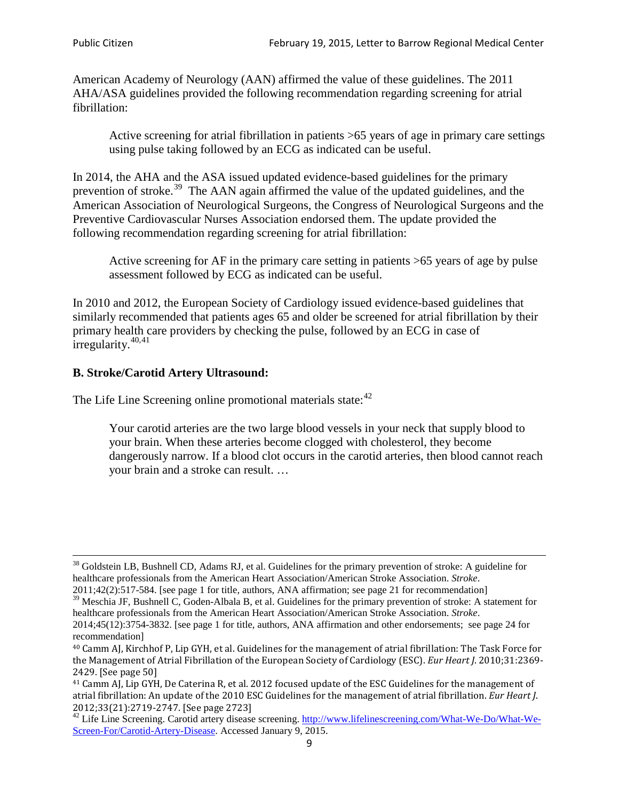American Academy of Neurology (AAN) affirmed the value of these guidelines. The 2011 AHA/ASA guidelines provided the following recommendation regarding screening for atrial fibrillation:

Active screening for atrial fibrillation in patients >65 years of age in primary care settings using pulse taking followed by an ECG as indicated can be useful.

In 2014, the AHA and the ASA issued updated evidence-based guidelines for the primary prevention of stroke.<sup>[39](#page-8-0)</sup> The AAN again affirmed the value of the updated guidelines, and the American Association of Neurological Surgeons, the Congress of Neurological Surgeons and the Preventive Cardiovascular Nurses Association endorsed them. The update provided the following recommendation regarding screening for atrial fibrillation:

Active screening for AF in the primary care setting in patients >65 years of age by pulse assessment followed by ECG as indicated can be useful.

In 2010 and 2012, the European Society of Cardiology issued evidence-based guidelines that similarly recommended that patients ages 65 and older be screened for atrial fibrillation by their primary health care providers by checking the pulse, followed by an ECG in case of irregularity. $40,41$  $40,41$ 

# **B. Stroke/Carotid Artery Ultrasound:**

The Life Line Screening online promotional materials state:<sup>[42](#page-8-3)</sup>

Your carotid arteries are the two large blood vessels in your neck that supply blood to your brain. When these arteries become clogged with cholesterol, they become dangerously narrow. If a blood clot occurs in the carotid arteries, then blood cannot reach your brain and a stroke can result. …

<sup>&</sup>lt;sup>38</sup> Goldstein LB, Bushnell CD, Adams RJ, et al. Guidelines for the primary prevention of stroke: A guideline for healthcare professionals from the American Heart Association/American Stroke Association. *Stroke*.

<sup>2011;42(2):517-584.</sup> [see page 1 for title, authors, ANA affirmation; see page 21 for recommendation]

<span id="page-8-0"></span> $\frac{2011,42(2)(317,601)}{39}$  Meschia JF, Bushnell C, Goden-Albala B, et al. Guidelines for the primary prevention of stroke: A statement for healthcare professionals from the American Heart Association/American Stroke Association. *Stroke*.

<sup>2014;45(12):3754-3832.</sup> [see page 1 for title, authors, ANA affirmation and other endorsements; see page 24 for recommendation]

<span id="page-8-1"></span><sup>40</sup> Camm AJ, Kirchhof P, Lip GYH, et al. Guidelines for the management of atrial fibrillation: The Task Force for the Management of Atrial Fibrillation of the European Society of Cardiology (ESC). *Eur Heart J*. 2010;31:2369- 2429. [See page 50]

<span id="page-8-2"></span><sup>41</sup> Camm AJ, Lip GYH, De Caterina R, et al. 2012 focused update of the ESC Guidelines for the management of atrial fibrillation: An update of the 2010 ESC Guidelines for the management of atrial fibrillation. *Eur Heart J*.

<span id="page-8-3"></span><sup>&</sup>lt;sup>2012</sup>;23(21):2719-2747. [See page 2733] 42 Life Line Screening. [http://www.lifelinescreening.com/What-We-Do/What-We-](http://www.lifelinescreening.com/What-We-Do/What-We-Screen-For/Carotid-Artery-Disease)[Screen-For/Carotid-Artery-Disease.](http://www.lifelinescreening.com/What-We-Do/What-We-Screen-For/Carotid-Artery-Disease) Accessed January 9, 2015.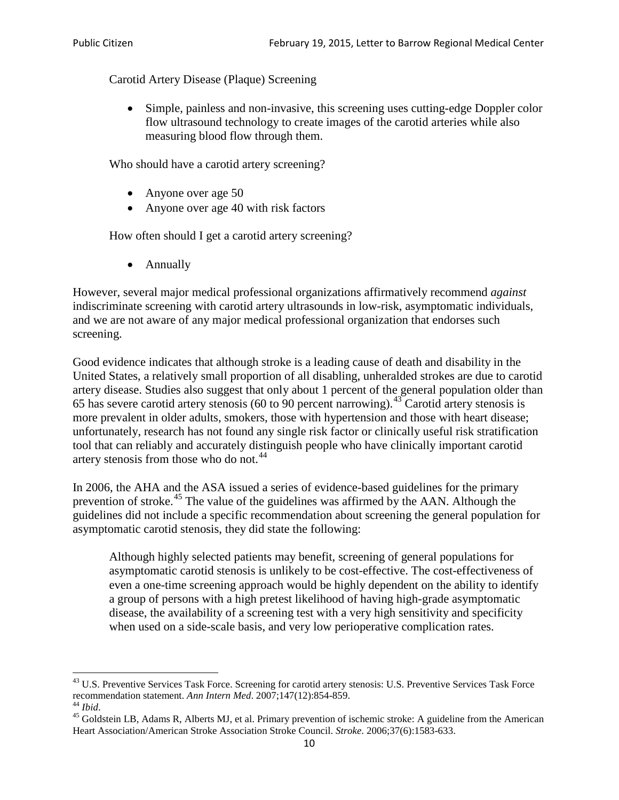Carotid Artery Disease (Plaque) Screening

• Simple, painless and non-invasive, this screening uses cutting-edge Doppler color flow ultrasound technology to create images of the carotid arteries while also measuring blood flow through them.

Who should have a carotid artery screening?

- Anyone over age 50
- Anyone over age 40 with risk factors

How often should I get a carotid artery screening?

• Annually

However, several major medical professional organizations affirmatively recommend *against* indiscriminate screening with carotid artery ultrasounds in low-risk, asymptomatic individuals, and we are not aware of any major medical professional organization that endorses such screening.

Good evidence indicates that although stroke is a leading cause of death and disability in the United States, a relatively small proportion of all disabling, unheralded strokes are due to carotid artery disease. Studies also suggest that only about 1 percent of the general population older than 65 has severe carotid artery stenosis (60 to 90 percent narrowing).<sup>[43](#page-9-0)</sup> Carotid artery stenosis is more prevalent in older adults, smokers, those with hypertension and those with heart disease; unfortunately, research has not found any single risk factor or clinically useful risk stratification tool that can reliably and accurately distinguish people who have clinically important carotid artery stenosis from those who do not.<sup>[44](#page-9-1)</sup>

In 2006, the AHA and the ASA issued a series of evidence-based guidelines for the primary prevention of stroke.[45](#page-9-2) The value of the guidelines was affirmed by the AAN. Although the guidelines did not include a specific recommendation about screening the general population for asymptomatic carotid stenosis, they did state the following:

Although highly selected patients may benefit, screening of general populations for asymptomatic carotid stenosis is unlikely to be cost-effective. The cost-effectiveness of even a one-time screening approach would be highly dependent on the ability to identify a group of persons with a high pretest likelihood of having high-grade asymptomatic disease, the availability of a screening test with a very high sensitivity and specificity when used on a side-scale basis, and very low perioperative complication rates.

<span id="page-9-0"></span> $^{43}$  U.S. Preventive Services Task Force. Screening for carotid artery stenosis: U.S. Preventive Services Task Force recommendation statement. Ann Intern Med. 2007;147(12):854-859.

<span id="page-9-2"></span>

<span id="page-9-1"></span><sup>&</sup>lt;sup>44</sup> *Ibid*. <sup>45</sup> Goldstein LB, Adams R, Alberts MJ, et al. Primary prevention of ischemic stroke: A guideline from the American <sup>45</sup> Goldstein LB, Adams R, Alberts MJ, et al. Primary prevention of ischemic stroke: A guide Heart Association/American Stroke Association Stroke Council. *Stroke*. 2006;37(6):1583-633.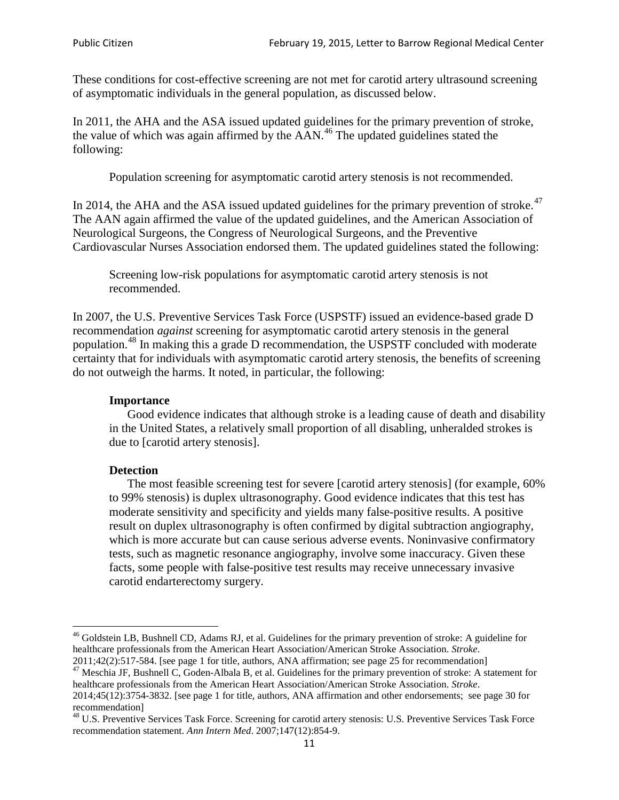These conditions for cost-effective screening are not met for carotid artery ultrasound screening of asymptomatic individuals in the general population, as discussed below.

In 2011, the AHA and the ASA issued updated guidelines for the primary prevention of stroke, the value of which was again affirmed by the  $AAN<sup>46</sup>$  $AAN<sup>46</sup>$  $AAN<sup>46</sup>$ . The updated guidelines stated the following:

Population screening for asymptomatic carotid artery stenosis is not recommended.

In 2014, the AHA and the ASA issued updated guidelines for the primary prevention of stroke.<sup>47</sup> The AAN again affirmed the value of the updated guidelines, and the American Association of Neurological Surgeons, the Congress of Neurological Surgeons, and the Preventive Cardiovascular Nurses Association endorsed them. The updated guidelines stated the following:

Screening low-risk populations for asymptomatic carotid artery stenosis is not recommended.

In 2007, the U.S. Preventive Services Task Force (USPSTF) issued an evidence-based grade D recommendation *against* screening for asymptomatic carotid artery stenosis in the general population.[48](#page-10-2) In making this a grade D recommendation, the USPSTF concluded with moderate certainty that for individuals with asymptomatic carotid artery stenosis, the benefits of screening do not outweigh the harms. It noted, in particular, the following:

#### **Importance**

Good evidence indicates that although stroke is a leading cause of death and disability in the United States, a relatively small proportion of all disabling, unheralded strokes is due to [carotid artery stenosis].

#### **Detection**

The most feasible screening test for severe [carotid artery stenosis] (for example, 60% to 99% stenosis) is duplex ultrasonography. Good evidence indicates that this test has moderate sensitivity and specificity and yields many false-positive results. A positive result on duplex ultrasonography is often confirmed by digital subtraction angiography, which is more accurate but can cause serious adverse events. Noninvasive confirmatory tests, such as magnetic resonance angiography, involve some inaccuracy. Given these facts, some people with false-positive test results may receive unnecessary invasive carotid endarterectomy surgery.

<span id="page-10-0"></span><sup>&</sup>lt;sup>46</sup> Goldstein LB, Bushnell CD, Adams RJ, et al. Guidelines for the primary prevention of stroke: A guideline for healthcare professionals from the American Heart Association/American Stroke Association. *Stroke*.<br>2011;42(2):517-584. [see page 1 for title, authors, ANA affirmation; see page 25 for recommendation]

<span id="page-10-1"></span><sup>&</sup>lt;sup>47</sup> Meschia JF, Bushnell C, Goden-Albala B, et al. Guidelines for the primary prevention of stroke: A statement for healthcare professionals from the American Heart Association/American Stroke Association. *Stroke*. 2014;45(12):3754-3832. [see page 1 for title, authors, ANA affirmation and other endorsements; see page 30 for

recommendation]<br><sup>48</sup> U.S. Preventive Services Task Force. Screening for carotid artery stenosis: U.S. Preventive Services Task Force

<span id="page-10-2"></span>recommendation statement. *Ann Intern Med*. 2007;147(12):854-9.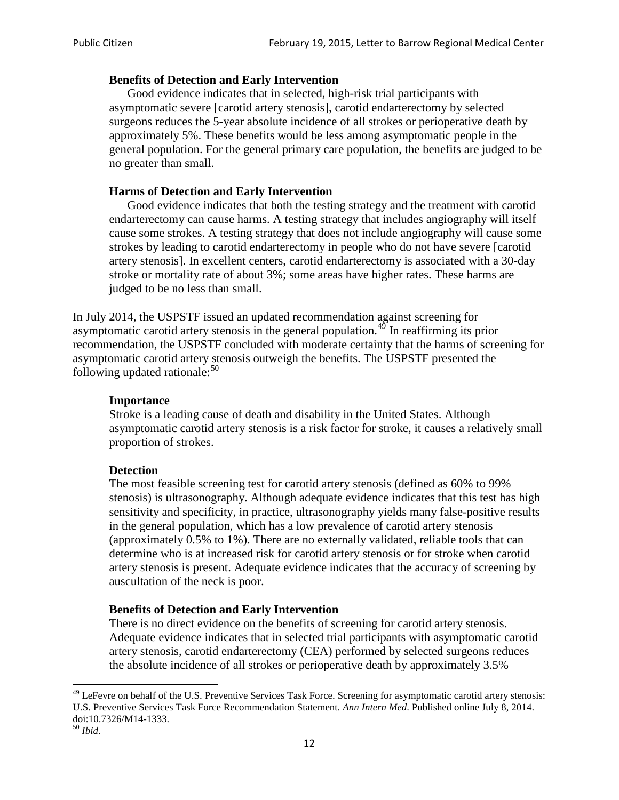### **Benefits of Detection and Early Intervention**

Good evidence indicates that in selected, high-risk trial participants with asymptomatic severe [carotid artery stenosis], carotid endarterectomy by selected surgeons reduces the 5-year absolute incidence of all strokes or perioperative death by approximately 5%. These benefits would be less among asymptomatic people in the general population. For the general primary care population, the benefits are judged to be no greater than small.

### **Harms of Detection and Early Intervention**

Good evidence indicates that both the testing strategy and the treatment with carotid endarterectomy can cause harms. A testing strategy that includes angiography will itself cause some strokes. A testing strategy that does not include angiography will cause some strokes by leading to carotid endarterectomy in people who do not have severe [carotid artery stenosis]. In excellent centers, carotid endarterectomy is associated with a 30-day stroke or mortality rate of about 3%; some areas have higher rates. These harms are judged to be no less than small.

In July 2014, the USPSTF issued an updated recommendation against screening for asymptomatic carotid artery stenosis in the general population.<sup>[49](#page-11-0)</sup> In reaffirming its prior recommendation, the USPSTF concluded with moderate certainty that the harms of screening for asymptomatic carotid artery stenosis outweigh the benefits. The USPSTF presented the following updated rationale: $50$ 

#### **Importance**

Stroke is a leading cause of death and disability in the United States. Although asymptomatic carotid artery stenosis is a risk factor for stroke, it causes a relatively small proportion of strokes.

#### **Detection**

The most feasible screening test for carotid artery stenosis (defined as 60% to 99% stenosis) is ultrasonography. Although adequate evidence indicates that this test has high sensitivity and specificity, in practice, ultrasonography yields many false-positive results in the general population, which has a low prevalence of carotid artery stenosis (approximately 0.5% to 1%). There are no externally validated, reliable tools that can determine who is at increased risk for carotid artery stenosis or for stroke when carotid artery stenosis is present. Adequate evidence indicates that the accuracy of screening by auscultation of the neck is poor.

## **Benefits of Detection and Early Intervention**

There is no direct evidence on the benefits of screening for carotid artery stenosis. Adequate evidence indicates that in selected trial participants with asymptomatic carotid artery stenosis, carotid endarterectomy (CEA) performed by selected surgeons reduces the absolute incidence of all strokes or perioperative death by approximately 3.5%

<span id="page-11-0"></span><sup>&</sup>lt;sup>49</sup> LeFevre on behalf of the U.S. Preventive Services Task Force. Screening for asymptomatic carotid artery stenosis: U.S. Preventive Services Task Force Recommendation Statement. *Ann Intern Med*. Published online July 8, 2014. doi:10.7326/M14-1333. <sup>50</sup> *Ibid*.

<span id="page-11-1"></span>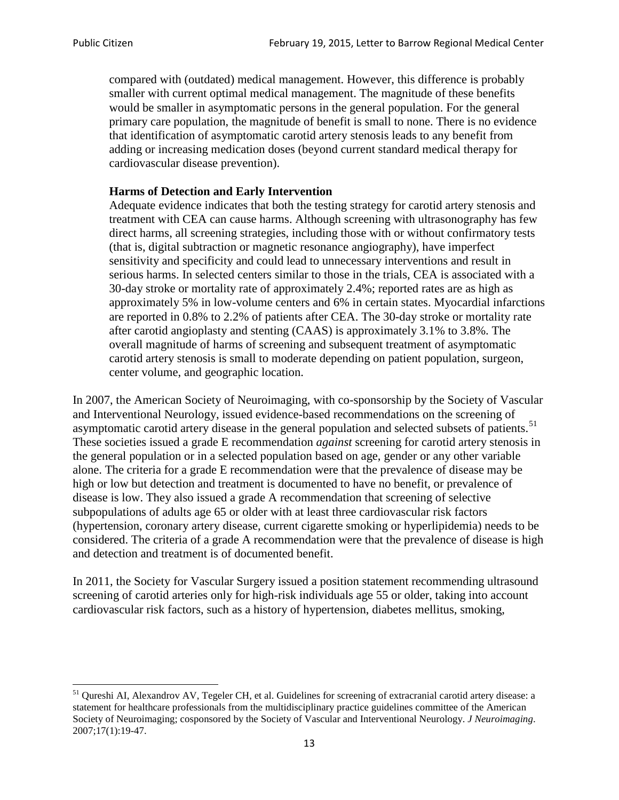compared with (outdated) medical management. However, this difference is probably smaller with current optimal medical management. The magnitude of these benefits would be smaller in asymptomatic persons in the general population. For the general primary care population, the magnitude of benefit is small to none. There is no evidence that identification of asymptomatic carotid artery stenosis leads to any benefit from adding or increasing medication doses (beyond current standard medical therapy for cardiovascular disease prevention).

### **Harms of Detection and Early Intervention**

Adequate evidence indicates that both the testing strategy for carotid artery stenosis and treatment with CEA can cause harms. Although screening with ultrasonography has few direct harms, all screening strategies, including those with or without confirmatory tests (that is, digital subtraction or magnetic resonance angiography), have imperfect sensitivity and specificity and could lead to unnecessary interventions and result in serious harms. In selected centers similar to those in the trials, CEA is associated with a 30-day stroke or mortality rate of approximately 2.4%; reported rates are as high as approximately 5% in low-volume centers and 6% in certain states. Myocardial infarctions are reported in 0.8% to 2.2% of patients after CEA. The 30-day stroke or mortality rate after carotid angioplasty and stenting (CAAS) is approximately 3.1% to 3.8%. The overall magnitude of harms of screening and subsequent treatment of asymptomatic carotid artery stenosis is small to moderate depending on patient population, surgeon, center volume, and geographic location.

In 2007, the American Society of Neuroimaging, with co-sponsorship by the Society of Vascular and Interventional Neurology, issued evidence-based recommendations on the screening of asymptomatic carotid artery disease in the general population and selected subsets of patients.<sup>[51](#page-12-0)</sup> These societies issued a grade E recommendation *against* screening for carotid artery stenosis in the general population or in a selected population based on age, gender or any other variable alone. The criteria for a grade E recommendation were that the prevalence of disease may be high or low but detection and treatment is documented to have no benefit, or prevalence of disease is low. They also issued a grade A recommendation that screening of selective subpopulations of adults age 65 or older with at least three cardiovascular risk factors (hypertension, coronary artery disease, current cigarette smoking or hyperlipidemia) needs to be considered. The criteria of a grade A recommendation were that the prevalence of disease is high and detection and treatment is of documented benefit.

In 2011, the Society for Vascular Surgery issued a position statement recommending ultrasound screening of carotid arteries only for high-risk individuals age 55 or older, taking into account cardiovascular risk factors, such as a history of hypertension, diabetes mellitus, smoking,

<span id="page-12-0"></span><sup>&</sup>lt;sup>51</sup> Qureshi AI, Alexandrov AV, Tegeler CH, et al. Guidelines for screening of extracranial carotid artery disease: a statement for healthcare professionals from the multidisciplinary practice guidelines committee of the American Society of Neuroimaging; cosponsored by the Society of Vascular and Interventional Neurology. *J Neuroimaging*. 2007;17(1):19-47.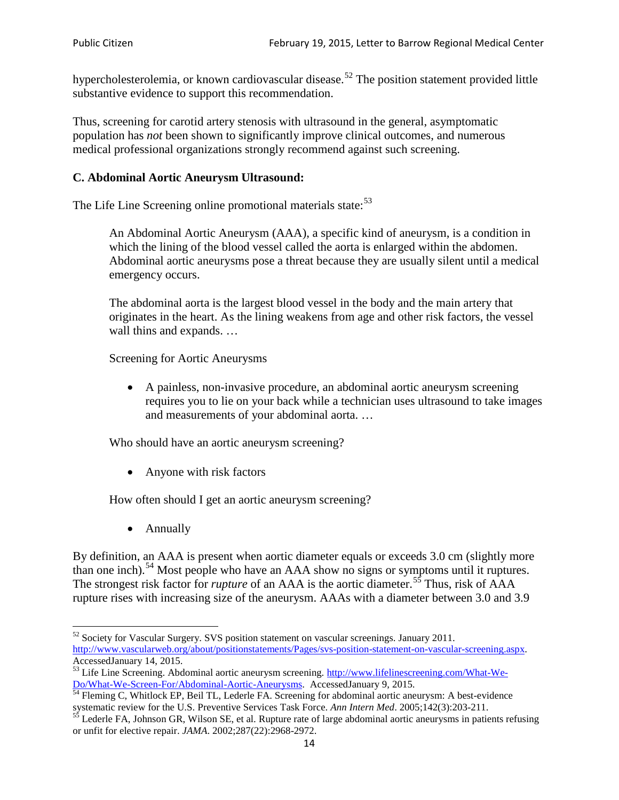hypercholesterolemia, or known cardiovascular disease.<sup>[52](#page-13-0)</sup> The position statement provided little substantive evidence to support this recommendation.

Thus, screening for carotid artery stenosis with ultrasound in the general, asymptomatic population has *not* been shown to significantly improve clinical outcomes, and numerous medical professional organizations strongly recommend against such screening.

#### **C. Abdominal Aortic Aneurysm Ultrasound:**

The Life Line Screening online promotional materials state:<sup>[53](#page-13-1)</sup>

An Abdominal Aortic Aneurysm (AAA), a specific kind of aneurysm, is a condition in which the lining of the blood vessel called the aorta is enlarged within the abdomen. Abdominal aortic aneurysms pose a threat because they are usually silent until a medical emergency occurs.

The abdominal aorta is the largest blood vessel in the body and the main artery that originates in the heart. As the lining weakens from age and other risk factors, the vessel wall thins and expands. …

Screening for Aortic Aneurysms

• A painless, non-invasive procedure, an abdominal aortic aneurysm screening requires you to lie on your back while a technician uses ultrasound to take images and measurements of your abdominal aorta. …

Who should have an aortic aneurysm screening?

• Anyone with risk factors

How often should I get an aortic aneurysm screening?

• Annually

By definition, an AAA is present when aortic diameter equals or exceeds 3.0 cm (slightly more than one inch).<sup>[54](#page-13-2)</sup> Most people who have an AAA show no signs or symptoms until it ruptures. The strongest risk factor for *rupture* of an AAA is the aortic diameter.<sup>[55](#page-13-3)</sup> Thus, risk of AAA rupture rises with increasing size of the aneurysm. AAAs with a diameter between 3.0 and 3.9

<span id="page-13-0"></span><sup>&</sup>lt;sup>52</sup> Society for Vascular Surgery. SVS position statement on vascular screenings. January 2011. http://www.vascularweb.org/about/positionstatements/Pages/svs-position-statement-on-vascular-screening.aspx.<br>Accessed January 14, 2015.

<span id="page-13-1"></span>Accessed January 14, 2015.<br>
Sa Life Line Screening. Abdominal aortic aneurysm screening. http://www.lifelinescreening.com/What-We-<br>
Do/What-We-Screen-For/Abdominal-Aortic-Aneurysms. Accessed January 9, 2015.

<span id="page-13-2"></span> $\frac{1}{54}$  Fleming C, Whitlock EP, Beil TL, Lederle FA. Screening for abdominal aortic aneurysm: A best-evidence systematic review for the U.S. Preventive Services Task Force. *Ann Intern Med.* 2005;142(3):203-211.<br><sup>55</sup> Lederle FA, Johnson GR, Wilson SE, et al. Rupture rate of large abdominal aortic aneurysms in patients refusing

<span id="page-13-3"></span>or unfit for elective repair. *JAMA*. 2002;287(22):2968-2972.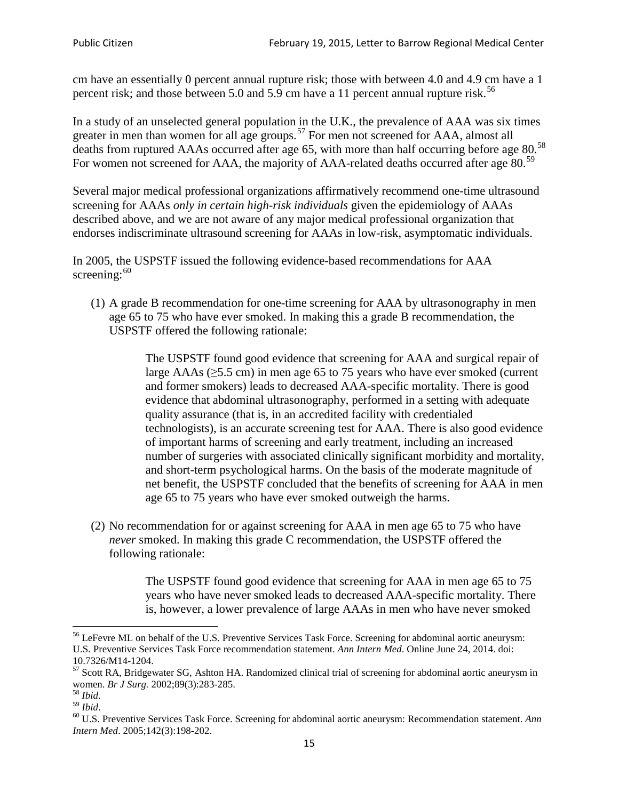cm have an essentially 0 percent annual rupture risk; those with between 4.0 and 4.9 cm have a 1 percent risk; and those between 5.0 and 5.9 cm have a 11 percent annual rupture risk.<sup>[56](#page-14-0)</sup>

In a study of an unselected general population in the U.K., the prevalence of AAA was six times greater in men than women for all age groups.<sup>[57](#page-14-1)</sup> For men not screened for  $AAA$ , almost all deaths from ruptured AAAs occurred after age 65, with more than half occurring before age 80.<sup>[58](#page-14-2)</sup> For women not screened for AAA, the majority of AAA-related deaths occurred after age 80.<sup>[59](#page-14-3)</sup>

Several major medical professional organizations affirmatively recommend one-time ultrasound screening for AAAs *only in certain high-risk individuals* given the epidemiology of AAAs described above, and we are not aware of any major medical professional organization that endorses indiscriminate ultrasound screening for AAAs in low-risk, asymptomatic individuals.

In 2005, the USPSTF issued the following evidence-based recommendations for AAA screening:  $60$ 

(1) A grade B recommendation for one-time screening for AAA by ultrasonography in men age 65 to 75 who have ever smoked. In making this a grade [B recommendation,](http://www.uspreventiveservicestaskforce.org/uspstf/gradespre.htm#brec) the USPSTF offered the following rationale:

> The USPSTF found good evidence that screening for AAA and surgical repair of large AAAs ( $\geq$ 5.5 cm) in men age 65 to 75 years who have ever smoked (current and former smokers) leads to decreased AAA-specific mortality. There is good evidence that abdominal ultrasonography, performed in a setting with adequate quality assurance (that is, in an accredited facility with credentialed technologists), is an accurate screening test for AAA. There is also good evidence of important harms of screening and early treatment, including an increased number of surgeries with associated clinically significant morbidity and mortality, and short-term psychological harms. On the basis of the moderate magnitude of net benefit, the USPSTF concluded that the benefits of screening for AAA in men age 65 to 75 years who have ever smoked outweigh the harms.

(2) No recommendation for or against screening for AAA in men age 65 to 75 who have *never* smoked. In making this grade C recommendation, the USPSTF offered the following rationale:

> The USPSTF found good evidence that screening for AAA in men age 65 to 75 years who have never smoked leads to decreased AAA-specific mortality. There is, however, a lower prevalence of large AAAs in men who have never smoked

<span id="page-14-0"></span><sup>&</sup>lt;sup>56</sup> LeFevre ML on behalf of the U.S. Preventive Services Task Force. Screening for abdominal aortic aneurysm: U.S. Preventive Services Task Force recommendation statement. *Ann Intern Med*. Online June 24, 2014. doi:

<span id="page-14-1"></span><sup>10.7326/</sup>M14-1204.<br> $57$  Scott RA, Bridgewater SG, Ashton HA. Randomized clinical trial of screening for abdominal aortic aneurysm in women. *Br J Surg.* 2002;89(3):283-285.

<span id="page-14-4"></span><span id="page-14-3"></span>

<span id="page-14-2"></span><sup>&</sup>lt;sup>58</sup> *Ibid.*<br><sup>59</sup> *Ibid.* 2002;<br><sup>60</sup> U.S. Preventive Services Task Force. Screening for abdominal aortic aneurysm: Recommendation statement. *Ann Intern Med*. 2005;142(3):198-202.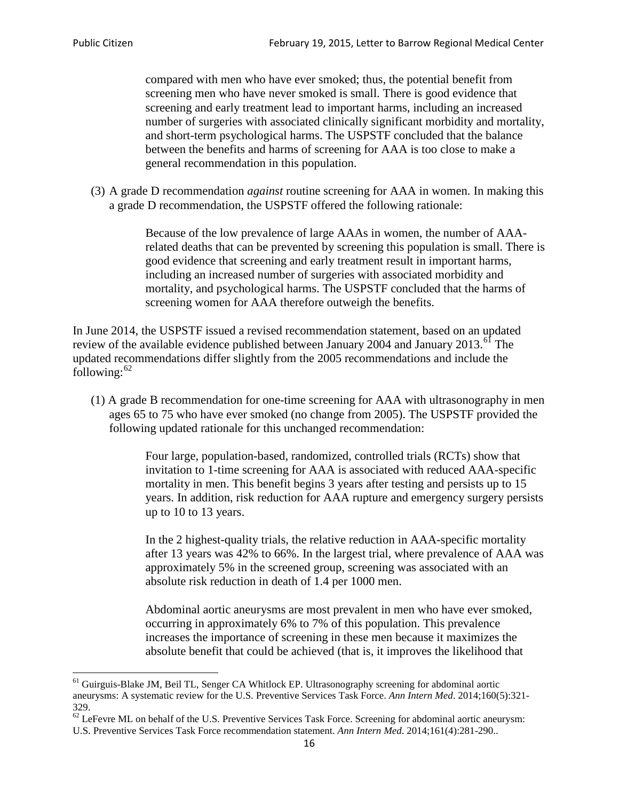compared with men who have ever smoked; thus, the potential benefit from screening men who have never smoked is small. There is good evidence that screening and early treatment lead to important harms, including an increased number of surgeries with associated clinically significant morbidity and mortality, and short-term psychological harms. The USPSTF concluded that the balance between the benefits and harms of screening for AAA is too close to make a general recommendation in this population.

(3) A grade D recommendation *against* routine screening for AAA in women. In making this a grade D recommendation, the USPSTF offered the following rationale:

> Because of the low prevalence of large AAAs in women, the number of AAArelated deaths that can be prevented by screening this population is small. There is good evidence that screening and early treatment result in important harms, including an increased number of surgeries with associated morbidity and mortality, and psychological harms. The USPSTF concluded that the harms of screening women for AAA therefore outweigh the benefits.

In June 2014, the USPSTF issued a revised recommendation statement, based on an updated review of the available evidence published between January 2004 and January 2013.<sup>[61](#page-15-0)</sup> The updated recommendations differ slightly from the 2005 recommendations and include the following: $62$ 

(1) A grade B recommendation for one-time screening for AAA with ultrasonography in men ages 65 to 75 who have ever smoked (no change from 2005). The USPSTF provided the following updated rationale for this unchanged recommendation:

> Four large, population-based, randomized, controlled trials (RCTs) show that invitation to 1-time screening for AAA is associated with reduced AAA-specific mortality in men. This benefit begins 3 years after testing and persists up to 15 years. In addition, risk reduction for AAA rupture and emergency surgery persists up to 10 to 13 years.

> In the 2 highest-quality trials, the relative reduction in AAA-specific mortality after 13 years was 42% to 66%. In the largest trial, where prevalence of AAA was approximately 5% in the screened group, screening was associated with an absolute risk reduction in death of 1.4 per 1000 men.

Abdominal aortic aneurysms are most prevalent in men who have ever smoked, occurring in approximately 6% to 7% of this population. This prevalence increases the importance of screening in these men because it maximizes the absolute benefit that could be achieved (that is, it improves the likelihood that

<span id="page-15-0"></span><sup>61</sup> Guirguis-Blake JM, Beil TL, Senger CA Whitlock EP. Ultrasonography screening for abdominal aortic aneurysms: A systematic review for the U.S. Preventive Services Task Force. *Ann Intern Med*. 2014;160(5):321- 329.

<span id="page-15-1"></span> $62$  LeFevre ML on behalf of the U.S. Preventive Services Task Force. Screening for abdominal aortic aneurysm: U.S. Preventive Services Task Force recommendation statement. *Ann Intern Med*. 2014;161(4):281-290..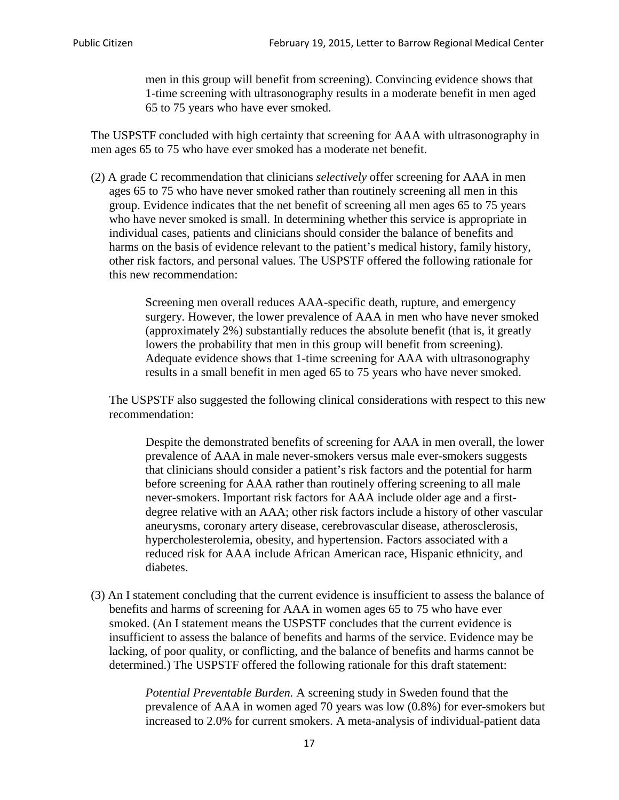men in this group will benefit from screening). Convincing evidence shows that 1-time screening with ultrasonography results in a moderate benefit in men aged 65 to 75 years who have ever smoked.

The USPSTF concluded with high certainty that screening for AAA with ultrasonography in men ages 65 to 75 who have ever smoked has a moderate net benefit.

(2) A grade C recommendation that clinicians *selectively* offer screening for AAA in men ages 65 to 75 who have never smoked rather than routinely screening all men in this group. Evidence indicates that the net benefit of screening all men ages 65 to 75 years who have never smoked is small. In determining whether this service is appropriate in individual cases, patients and clinicians should consider the balance of benefits and harms on the basis of evidence relevant to the patient's medical history, family history, other risk factors, and personal values. The USPSTF offered the following rationale for this new recommendation:

> Screening men overall reduces AAA-specific death, rupture, and emergency surgery. However, the lower prevalence of AAA in men who have never smoked (approximately 2%) substantially reduces the absolute benefit (that is, it greatly lowers the probability that men in this group will benefit from screening). Adequate evidence shows that 1-time screening for AAA with ultrasonography results in a small benefit in men aged 65 to 75 years who have never smoked.

The USPSTF also suggested the following clinical considerations with respect to this new recommendation:

Despite the demonstrated benefits of screening for AAA in men overall, the lower prevalence of AAA in male never-smokers versus male ever-smokers suggests that clinicians should consider a patient's risk factors and the potential for harm before screening for AAA rather than routinely offering screening to all male never-smokers. Important risk factors for AAA include older age and a firstdegree relative with an AAA; other risk factors include a history of other vascular aneurysms, coronary artery disease, cerebrovascular disease, atherosclerosis, hypercholesterolemia, obesity, and hypertension. Factors associated with a reduced risk for AAA include African American race, Hispanic ethnicity, and diabetes.

(3) An I statement concluding that the current evidence is insufficient to assess the balance of benefits and harms of screening for AAA in women ages 65 to 75 who have ever smoked. (An I statement means the USPSTF concludes that the current evidence is insufficient to assess the balance of benefits and harms of the service. Evidence may be lacking, of poor quality, or conflicting, and the balance of benefits and harms cannot be determined.) The USPSTF offered the following rationale for this draft statement:

> *Potential Preventable Burden.* A screening study in Sweden found that the prevalence of AAA in women aged 70 years was low (0.8%) for ever-smokers but increased to 2.0% for current smokers. A meta-analysis of individual-patient data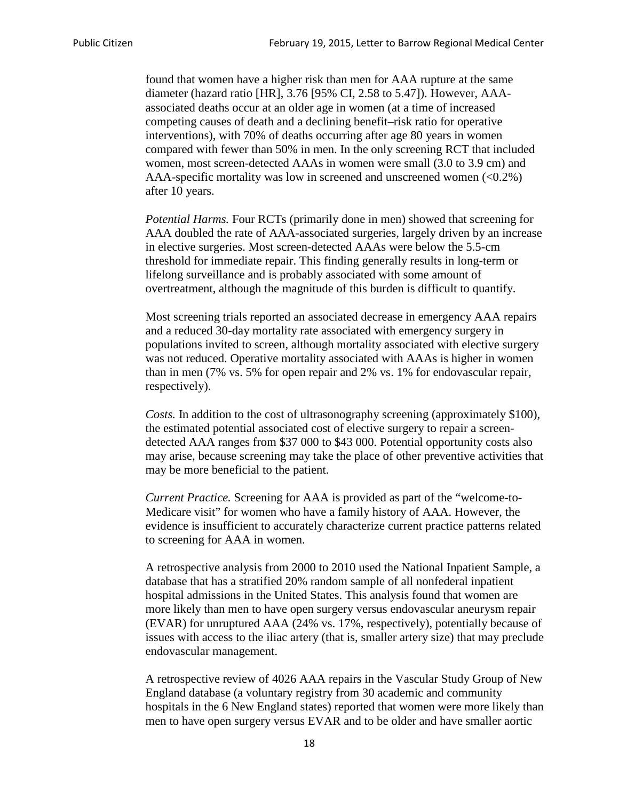found that women have a higher risk than men for AAA rupture at the same diameter (hazard ratio [HR], 3.76 [95% CI, 2.58 to 5.47]). However, AAAassociated deaths occur at an older age in women (at a time of increased competing causes of death and a declining benefit–risk ratio for operative interventions), with 70% of deaths occurring after age 80 years in women compared with fewer than 50% in men. In the only screening RCT that included women, most screen-detected AAAs in women were small (3.0 to 3.9 cm) and AAA-specific mortality was low in screened and unscreened women  $(<0.2\%)$ after 10 years.

*Potential Harms.* Four RCTs (primarily done in men) showed that screening for AAA doubled the rate of AAA-associated surgeries, largely driven by an increase in elective surgeries. Most screen-detected AAAs were below the 5.5-cm threshold for immediate repair. This finding generally results in long-term or lifelong surveillance and is probably associated with some amount of overtreatment, although the magnitude of this burden is difficult to quantify.

Most screening trials reported an associated decrease in emergency AAA repairs and a reduced 30-day mortality rate associated with emergency surgery in populations invited to screen, although mortality associated with elective surgery was not reduced. Operative mortality associated with AAAs is higher in women than in men (7% vs. 5% for open repair and 2% vs. 1% for endovascular repair, respectively).

*Costs.* In addition to the cost of ultrasonography screening (approximately \$100), the estimated potential associated cost of elective surgery to repair a screendetected AAA ranges from \$37 000 to \$43 000. Potential opportunity costs also may arise, because screening may take the place of other preventive activities that may be more beneficial to the patient.

*Current Practice.* Screening for AAA is provided as part of the "welcome-to-Medicare visit" for women who have a family history of AAA. However, the evidence is insufficient to accurately characterize current practice patterns related to screening for AAA in women.

A retrospective analysis from 2000 to 2010 used the National Inpatient Sample, a database that has a stratified 20% random sample of all nonfederal inpatient hospital admissions in the United States. This analysis found that women are more likely than men to have open surgery versus endovascular aneurysm repair (EVAR) for unruptured AAA (24% vs. 17%, respectively), potentially because of issues with access to the iliac artery (that is, smaller artery size) that may preclude endovascular management.

A retrospective review of 4026 AAA repairs in the Vascular Study Group of New England database (a voluntary registry from 30 academic and community hospitals in the 6 New England states) reported that women were more likely than men to have open surgery versus EVAR and to be older and have smaller aortic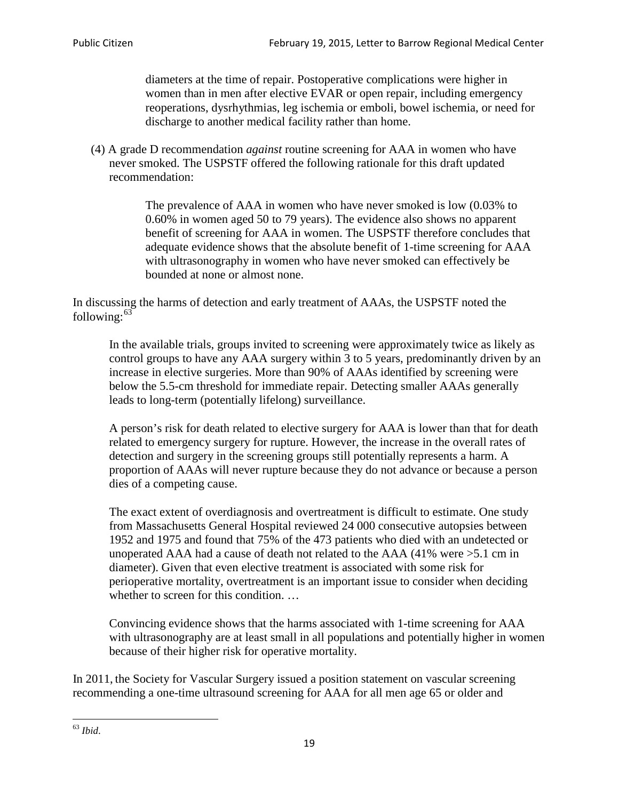diameters at the time of repair. Postoperative complications were higher in women than in men after elective EVAR or open repair, including emergency reoperations, dysrhythmias, leg ischemia or emboli, bowel ischemia, or need for discharge to another medical facility rather than home.

(4) A grade D recommendation *against* routine screening for AAA in women who have never smoked. The USPSTF offered the following rationale for this draft updated recommendation:

> The prevalence of AAA in women who have never smoked is low (0.03% to 0.60% in women aged 50 to 79 years). The evidence also shows no apparent benefit of screening for AAA in women. The USPSTF therefore concludes that adequate evidence shows that the absolute benefit of 1-time screening for AAA with ultrasonography in women who have never smoked can effectively be bounded at none or almost none.

In discussing the harms of detection and early treatment of AAAs, the USPSTF noted the following: $63$ 

In the available trials, groups invited to screening were approximately twice as likely as control groups to have any AAA surgery within 3 to 5 years, predominantly driven by an increase in elective surgeries. More than 90% of AAAs identified by screening were below the 5.5-cm threshold for immediate repair. Detecting smaller AAAs generally leads to long-term (potentially lifelong) surveillance.

A person's risk for death related to elective surgery for AAA is lower than that for death related to emergency surgery for rupture. However, the increase in the overall rates of detection and surgery in the screening groups still potentially represents a harm. A proportion of AAAs will never rupture because they do not advance or because a person dies of a competing cause.

The exact extent of overdiagnosis and overtreatment is difficult to estimate. One study from Massachusetts General Hospital reviewed 24 000 consecutive autopsies between 1952 and 1975 and found that 75% of the 473 patients who died with an undetected or unoperated AAA had a cause of death not related to the AAA (41% were >5.1 cm in diameter). Given that even elective treatment is associated with some risk for perioperative mortality, overtreatment is an important issue to consider when deciding whether to screen for this condition....

Convincing evidence shows that the harms associated with 1-time screening for AAA with ultrasonography are at least small in all populations and potentially higher in women because of their higher risk for operative mortality.

In 2011, the Society for Vascular Surgery issued a position statement on vascular screening recommending a one-time ultrasound screening for AAA for all men age 65 or older and

<span id="page-18-0"></span><sup>63</sup> *Ibid*.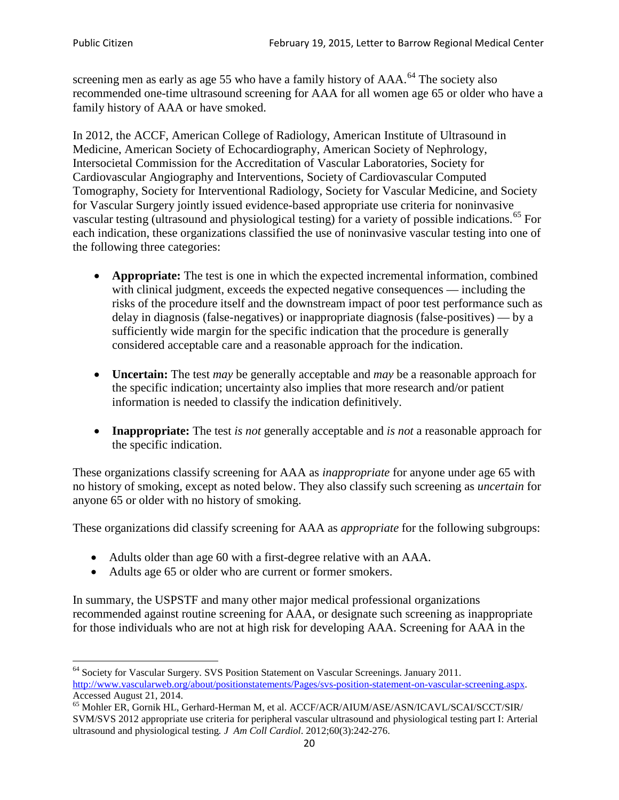screening men as early as age 55 who have a family history of AAA.<sup>[64](#page-19-0)</sup> The society also recommended one-time ultrasound screening for AAA for all women age 65 or older who have a family history of AAA or have smoked.

In 2012, the ACCF, American College of Radiology, American Institute of Ultrasound in Medicine, American Society of Echocardiography, American Society of Nephrology, Intersocietal Commission for the Accreditation of Vascular Laboratories, Society for Cardiovascular Angiography and Interventions, Society of Cardiovascular Computed Tomography, Society for Interventional Radiology, Society for Vascular Medicine, and Society for Vascular Surgery jointly issued evidence-based appropriate use criteria for noninvasive vascular testing (ultrasound and physiological testing) for a variety of possible indications.<sup>[65](#page-19-1)</sup> For each indication, these organizations classified the use of noninvasive vascular testing into one of the following three categories:

- **Appropriate:** The test is one in which the expected incremental information, combined with clinical judgment, exceeds the expected negative consequences — including the risks of the procedure itself and the downstream impact of poor test performance such as delay in diagnosis (false-negatives) or inappropriate diagnosis (false-positives) — by a sufficiently wide margin for the specific indication that the procedure is generally considered acceptable care and a reasonable approach for the indication.
- **Uncertain:** The test *may* be generally acceptable and *may* be a reasonable approach for the specific indication; uncertainty also implies that more research and/or patient information is needed to classify the indication definitively.
- **Inappropriate:** The test *is not* generally acceptable and *is not* a reasonable approach for the specific indication.

These organizations classify screening for AAA as *inappropriate* for anyone under age 65 with no history of smoking, except as noted below. They also classify such screening as *uncertain* for anyone 65 or older with no history of smoking.

These organizations did classify screening for AAA as *appropriate* for the following subgroups:

- Adults older than age 60 with a first-degree relative with an AAA.
- Adults age 65 or older who are current or former smokers.

In summary, the USPSTF and many other major medical professional organizations recommended against routine screening for AAA, or designate such screening as inappropriate for those individuals who are not at high risk for developing AAA. Screening for AAA in the

<span id="page-19-0"></span><sup>64</sup> Society for Vascular Surgery. SVS Position Statement on Vascular Screenings. January 2011. [http://www.vascularweb.org/about/positionstatements/Pages/svs-position-statement-on-vascular-screening.aspx.](http://www.vascularweb.org/about/positionstatements/Pages/svs-position-statement-on-vascular-screening.aspx) 

<span id="page-19-1"></span>Accessed August 21, 2014.<br><sup>65</sup> Mohler ER, Gornik HL, Gerhard-Herman M, et al. ACCF/ACR/AIUM/ASE/ASN/ICAVL/SCAI/SCCT/SIR/ SVM/SVS 2012 appropriate use criteria for peripheral vascular ultrasound and physiological testing part I: Arterial ultrasound and physiological testing*. J Am Coll Cardiol*. 2012;60(3):242-276.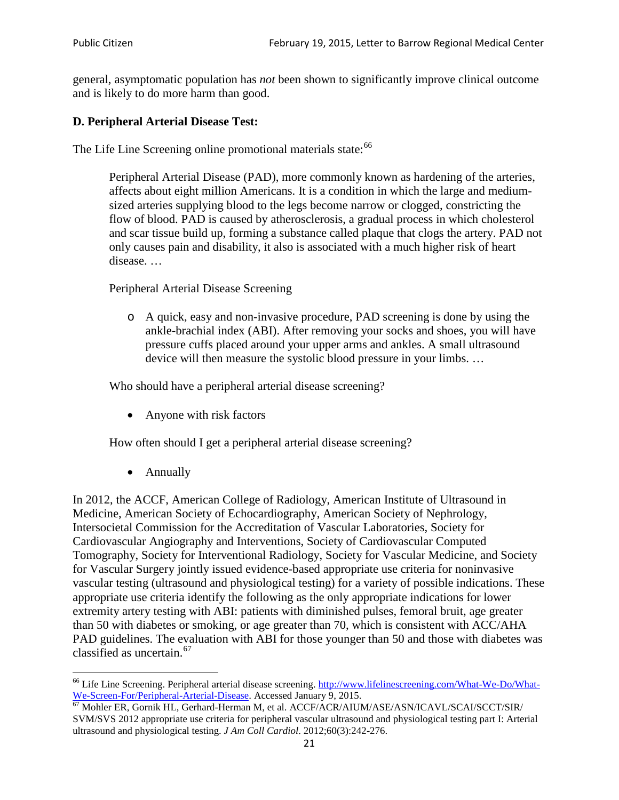general, asymptomatic population has *not* been shown to significantly improve clinical outcome and is likely to do more harm than good.

### **D. Peripheral Arterial Disease Test:**

The Life Line Screening online promotional materials state:<sup>[66](#page-20-0)</sup>

Peripheral Arterial Disease (PAD), more commonly known as hardening of the arteries, affects about eight million Americans. It is a condition in which the large and mediumsized arteries supplying blood to the legs become narrow or clogged, constricting the flow of blood. PAD is caused by atherosclerosis, a gradual process in which cholesterol and scar tissue build up, forming a substance called plaque that clogs the artery. PAD not only causes pain and disability, it also is associated with a much higher risk of heart disease. …

Peripheral Arterial Disease Screening

o A quick, easy and non-invasive procedure, PAD screening is done by using the ankle-brachial index (ABI). After removing your socks and shoes, you will have pressure cuffs placed around your upper arms and ankles. A small ultrasound device will then measure the systolic blood pressure in your limbs. …

Who should have a peripheral arterial disease screening?

• Anyone with risk factors

How often should I get a peripheral arterial disease screening?

• Annually

In 2012, the ACCF, American College of Radiology, American Institute of Ultrasound in Medicine, American Society of Echocardiography, American Society of Nephrology, Intersocietal Commission for the Accreditation of Vascular Laboratories, Society for Cardiovascular Angiography and Interventions, Society of Cardiovascular Computed Tomography, Society for Interventional Radiology, Society for Vascular Medicine, and Society for Vascular Surgery jointly issued evidence-based appropriate use criteria for noninvasive vascular testing (ultrasound and physiological testing) for a variety of possible indications. These appropriate use criteria identify the following as the only appropriate indications for lower extremity artery testing with ABI: patients with diminished pulses, femoral bruit, age greater than 50 with diabetes or smoking, or age greater than 70, which is consistent with ACC/AHA PAD guidelines. The evaluation with ABI for those younger than 50 and those with diabetes was classified as uncertain.<sup>[67](#page-20-1)</sup>

<span id="page-20-0"></span><sup>&</sup>lt;sup>66</sup> Life Line Screening. Peripheral arterial disease screening. [http://www.lifelinescreening.com/What-We-Do/What-](http://www.lifelinescreening.com/What-We-Do/What-We-Screen-For/Peripheral-Arterial-Disease)[We-Screen-For/Peripheral-Arterial-Disease.](http://www.lifelinescreening.com/What-We-Do/What-We-Screen-For/Peripheral-Arterial-Disease) Accessed January 9, 2015.<br><sup>67</sup> Mohler ER, Gornik HL, Gerhard-Herman M, et al. ACCF/ACR/AIUM/ASE/ASN/ICAVL/SCAI/SCCT/SIR/

<span id="page-20-1"></span>SVM/SVS 2012 appropriate use criteria for peripheral vascular ultrasound and physiological testing part I: Arterial ultrasound and physiological testing. *J Am Coll Cardiol*. 2012;60(3):242-276.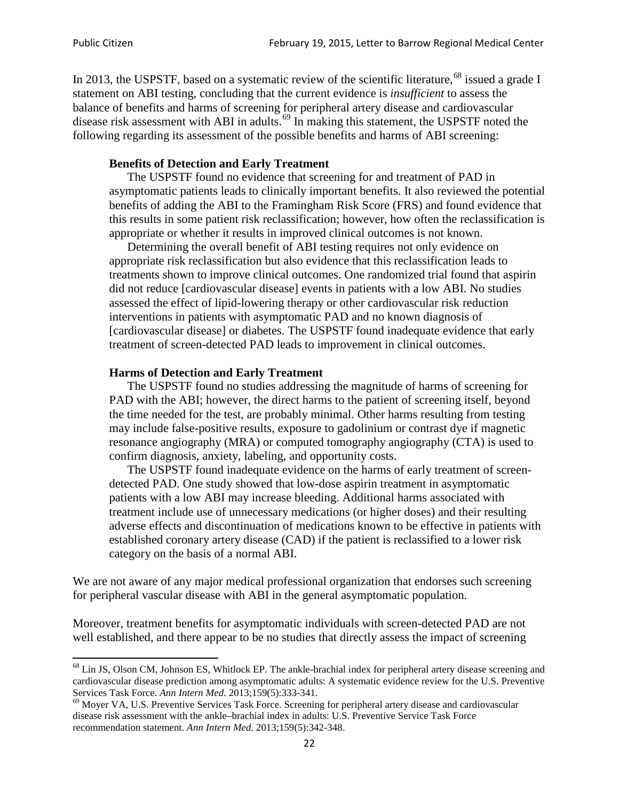In 2013, the USPSTF, based on a systematic review of the scientific literature,<sup>[68](#page-21-0)</sup> issued a grade I statement on ABI testing, concluding that the current evidence is *insufficient* to assess the balance of benefits and harms of screening for peripheral artery disease and cardiovascular disease risk assessment with ABI in adults.<sup>[69](#page-21-1)</sup> In making this statement, the USPSTF noted the following regarding its assessment of the possible benefits and harms of ABI screening:

#### **Benefits of Detection and Early Treatment**

The USPSTF found no evidence that screening for and treatment of PAD in asymptomatic patients leads to clinically important benefits. It also reviewed the potential benefits of adding the ABI to the Framingham Risk Score (FRS) and found evidence that this results in some patient risk reclassification; however, how often the reclassification is appropriate or whether it results in improved clinical outcomes is not known.

Determining the overall benefit of ABI testing requires not only evidence on appropriate risk reclassification but also evidence that this reclassification leads to treatments shown to improve clinical outcomes. One randomized trial found that aspirin did not reduce [cardiovascular disease] events in patients with a low ABI. No studies assessed the effect of lipid-lowering therapy or other cardiovascular risk reduction interventions in patients with asymptomatic PAD and no known diagnosis of [cardiovascular disease] or diabetes. The USPSTF found inadequate evidence that early treatment of screen-detected PAD leads to improvement in clinical outcomes.

#### **Harms of Detection and Early Treatment**

The USPSTF found no studies addressing the magnitude of harms of screening for PAD with the ABI; however, the direct harms to the patient of screening itself, beyond the time needed for the test, are probably minimal. Other harms resulting from testing may include false-positive results, exposure to gadolinium or contrast dye if magnetic resonance angiography (MRA) or computed tomography angiography (CTA) is used to confirm diagnosis, anxiety, labeling, and opportunity costs.

The USPSTF found inadequate evidence on the harms of early treatment of screendetected PAD. One study showed that low-dose aspirin treatment in asymptomatic patients with a low ABI may increase bleeding. Additional harms associated with treatment include use of unnecessary medications (or higher doses) and their resulting adverse effects and discontinuation of medications known to be effective in patients with established coronary artery disease (CAD) if the patient is reclassified to a lower risk category on the basis of a normal ABI.

We are not aware of any major medical professional organization that endorses such screening for peripheral vascular disease with ABI in the general asymptomatic population.

Moreover, treatment benefits for asymptomatic individuals with screen-detected PAD are not well established, and there appear to be no studies that directly assess the impact of screening

<span id="page-21-0"></span><sup>&</sup>lt;sup>68</sup> Lin JS, Olson CM, Johnson ES, Whitlock EP. The ankle-brachial index for peripheral artery disease screening and cardiovascular disease prediction among asymptomatic adults: A systematic evidence review for the U.S. Preventive Services Task Force. *Ann Intern Med.* 2013;159(5):333-341.<br><sup>69</sup> Moyer VA, U.S. Preventive Services Task Force. Screening for peripheral artery disease and cardiovascular

<span id="page-21-1"></span>disease risk assessment with the ankle–brachial index in adults: U.S. Preventive Service Task Force recommendation statement. *Ann Intern Med.* 2013;159(5):342-348.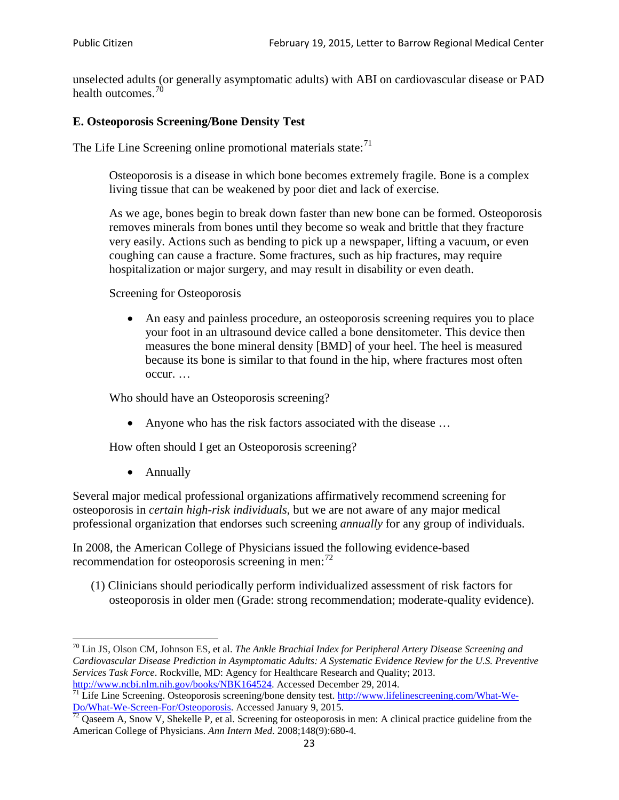unselected adults (or generally asymptomatic adults) with ABI on cardiovascular disease or PAD health outcomes.<sup>[70](#page-22-0)</sup>

#### **E. Osteoporosis Screening/Bone Density Test**

The Life Line Screening online promotional materials state: $71$ 

Osteoporosis is a disease in which bone becomes extremely fragile. Bone is a complex living tissue that can be weakened by poor diet and lack of exercise.

As we age, bones begin to break down faster than new bone can be formed. Osteoporosis removes minerals from bones until they become so weak and brittle that they fracture very easily. Actions such as bending to pick up a newspaper, lifting a vacuum, or even coughing can cause a fracture. Some fractures, such as hip fractures, may require hospitalization or major surgery, and may result in disability or even death.

Screening for Osteoporosis

• An easy and painless procedure, an osteoporosis screening requires you to place your foot in an ultrasound device called a bone densitometer. This device then measures the bone mineral density [BMD] of your heel. The heel is measured because its bone is similar to that found in the hip, where fractures most often occur. …

Who should have an Osteoporosis screening?

• Anyone who has the risk factors associated with the disease ...

How often should I get an Osteoporosis screening?

• Annually

Several major medical professional organizations affirmatively recommend screening for osteoporosis in *certain high-risk individuals*, but we are not aware of any major medical professional organization that endorses such screening *annually* for any group of individuals.

In 2008, the American College of Physicians issued the following evidence-based recommendation for osteoporosis screening in men: $^{72}$  $^{72}$  $^{72}$ 

(1) Clinicians should periodically perform individualized assessment of risk factors for osteoporosis in older men (Grade: strong recommendation; moderate-quality evidence).

<span id="page-22-0"></span><sup>70</sup> [Lin JS,](http://www.ncbi.nlm.nih.gov/pubmed?term=Lin%20JS%5BAuthor%5D&cauthor=true&cauthor_uid=24156115) [Olson CM,](http://www.ncbi.nlm.nih.gov/pubmed?term=Olson%20CM%5BAuthor%5D&cauthor=true&cauthor_uid=24156115) [Johnson ES,](http://www.ncbi.nlm.nih.gov/pubmed?term=Johnson%20ES%5BAuthor%5D&cauthor=true&cauthor_uid=24156115) et al. *The Ankle Brachial Index for Peripheral Artery Disease Screening and Cardiovascular Disease Prediction in Asymptomatic Adults: A Systematic Evidence Review for the U.S. Preventive Services Task Force*. Rockville, MD: Agency for Healthcare Research and Quality; 2013.<br>http://www.ncbi.nlm.nih.gov/books/NBK164524. Accessed December 29, 2014.

<span id="page-22-1"></span> $\frac{1}{71}$  Life Line Screening. Osteoporosis screening/bone density test. [http://www.lifelinescreening.com/What-We-](http://www.lifelinescreening.com/What-We-Do/What-We-Screen-For/Osteoporosis)[Do/What-We-Screen-For/Osteoporosis.](http://www.lifelinescreening.com/What-We-Do/What-We-Screen-For/Osteoporosis) Accessed January 9, 2015. <sup>72</sup> Qaseem A, Snow V, Shekelle P, et al. Screening for osteoporosis in men: A clinical practice guideline from the

<span id="page-22-2"></span>American College of Physicians. *Ann Intern Med*. 2008;148(9):680-4.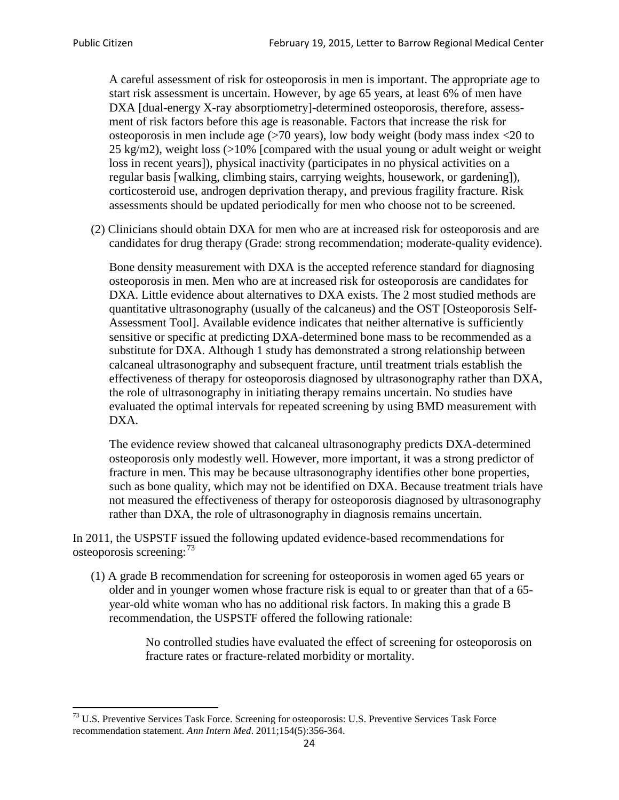A careful assessment of risk for osteoporosis in men is important. The appropriate age to start risk assessment is uncertain. However, by age 65 years, at least 6% of men have DXA [dual-energy X-ray absorptiometry]-determined osteoporosis, therefore, assessment of risk factors before this age is reasonable. Factors that increase the risk for osteoporosis in men include age (>70 years), low body weight (body mass index <20 to 25 kg/m2), weight loss (>10% [compared with the usual young or adult weight or weight loss in recent years]), physical inactivity (participates in no physical activities on a regular basis [walking, climbing stairs, carrying weights, housework, or gardening]), corticosteroid use, androgen deprivation therapy, and previous fragility fracture. Risk assessments should be updated periodically for men who choose not to be screened.

(2) Clinicians should obtain DXA for men who are at increased risk for osteoporosis and are candidates for drug therapy (Grade: strong recommendation; moderate-quality evidence).

Bone density measurement with DXA is the accepted reference standard for diagnosing osteoporosis in men. Men who are at increased risk for osteoporosis are candidates for DXA. Little evidence about alternatives to DXA exists. The 2 most studied methods are quantitative ultrasonography (usually of the calcaneus) and the OST [Osteoporosis Self-Assessment Tool]. Available evidence indicates that neither alternative is sufficiently sensitive or specific at predicting DXA-determined bone mass to be recommended as a substitute for DXA. Although 1 study has demonstrated a strong relationship between calcaneal ultrasonography and subsequent fracture, until treatment trials establish the effectiveness of therapy for osteoporosis diagnosed by ultrasonography rather than DXA, the role of ultrasonography in initiating therapy remains uncertain. No studies have evaluated the optimal intervals for repeated screening by using BMD measurement with DXA.

The evidence review showed that calcaneal ultrasonography predicts DXA-determined osteoporosis only modestly well. However, more important, it was a strong predictor of fracture in men. This may be because ultrasonography identifies other bone properties, such as bone quality, which may not be identified on DXA. Because treatment trials have not measured the effectiveness of therapy for osteoporosis diagnosed by ultrasonography rather than DXA, the role of ultrasonography in diagnosis remains uncertain.

In 2011, the USPSTF issued the following updated evidence-based recommendations for osteoporosis screening:<sup>[73](#page-23-0)</sup>

(1) A grade B recommendation for screening for osteoporosis in women aged 65 years or older and in younger women whose fracture risk is equal to or greater than that of a 65 year-old white woman who has no additional risk factors. In making this a grade B recommendation, the USPSTF offered the following rationale:

> No controlled studies have evaluated the effect of screening for osteoporosis on fracture rates or fracture-related morbidity or mortality.

<span id="page-23-0"></span><sup>&</sup>lt;sup>73</sup> U.S. Preventive Services Task Force. Screening for osteoporosis: U.S. Preventive Services Task Force recommendation statement. *Ann Intern Med*. 2011;154(5):356-364.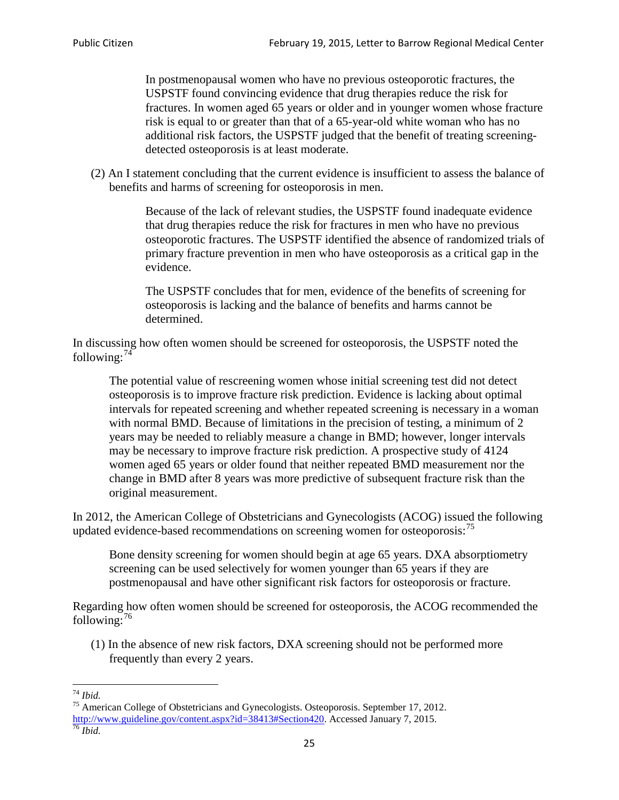In postmenopausal women who have no previous osteoporotic fractures, the USPSTF found convincing evidence that drug therapies reduce the risk for fractures. In women aged 65 years or older and in younger women whose fracture risk is equal to or greater than that of a 65-year-old white woman who has no additional risk factors, the USPSTF judged that the benefit of treating screeningdetected osteoporosis is at least moderate.

(2) An I statement concluding that the current evidence is insufficient to assess the balance of benefits and harms of screening for osteoporosis in men.

> Because of the lack of relevant studies, the USPSTF found inadequate evidence that drug therapies reduce the risk for fractures in men who have no previous osteoporotic fractures. The USPSTF identified the absence of randomized trials of primary fracture prevention in men who have osteoporosis as a critical gap in the evidence.

The USPSTF concludes that for men, evidence of the benefits of screening for osteoporosis is lacking and the balance of benefits and harms cannot be determined.

In discussing how often women should be screened for osteoporosis, the USPSTF noted the following: $74$ 

The potential value of rescreening women whose initial screening test did not detect osteoporosis is to improve fracture risk prediction. Evidence is lacking about optimal intervals for repeated screening and whether repeated screening is necessary in a woman with normal BMD. Because of limitations in the precision of testing, a minimum of 2 years may be needed to reliably measure a change in BMD; however, longer intervals may be necessary to improve fracture risk prediction. A prospective study of 4124 women aged 65 years or older found that neither repeated BMD measurement nor the change in BMD after 8 years was more predictive of subsequent fracture risk than the original measurement.

In 2012, the American College of Obstetricians and Gynecologists (ACOG) issued the following updated evidence-based recommendations on screening women for osteoporosis:<sup>[75](#page-24-1)</sup>

Bone density screening for women should begin at age 65 years. DXA absorptiometry screening can be used selectively for women younger than 65 years if they are postmenopausal and have other significant risk factors for osteoporosis or fracture.

Regarding how often women should be screened for osteoporosis, the ACOG recommended the following: $^{76}$  $^{76}$  $^{76}$ 

(1) In the absence of new risk factors, DXA screening should not be performed more frequently than every 2 years.

<span id="page-24-2"></span><span id="page-24-1"></span><span id="page-24-0"></span><sup>74</sup> *Ibid.* <sup>75</sup> American College of Obstetricians and Gynecologists. Osteoporosis. September 17, 2012. [http://www.guideline.gov/content.aspx?id=38413#Section420.](http://www.guideline.gov/content.aspx?id=38413#Section420) Accessed January 7, 2015.<br><sup>76</sup> *Ibid.*